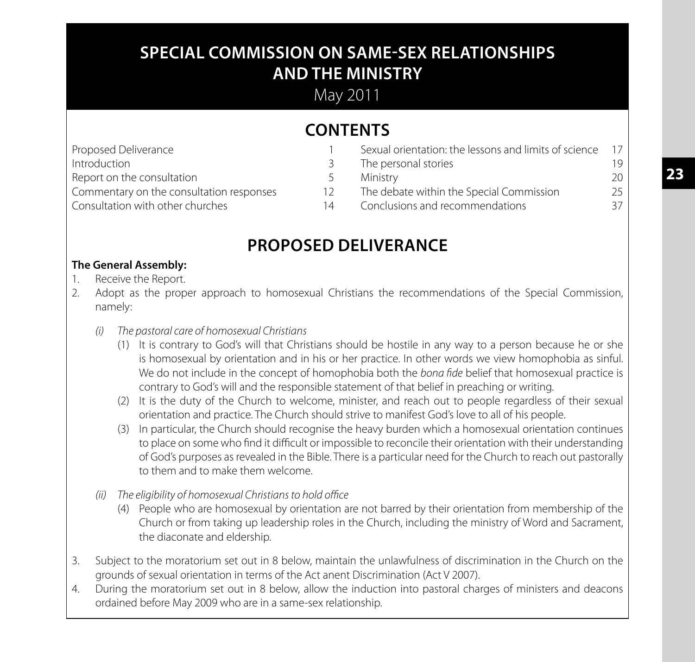# **SPECIAL COMMISSION ON SAME-SEX RELATIONSHIPS AND THE MINISTRY**

May 2011

# **CONTENTS**

| 19 |
|----|
| 20 |
| 25 |
| 37 |
|    |

# **PROPOSED DELIVERANCE**

# **The General Assembly:**

- 1. Receive the Report.
- 2. Adopt as the proper approach to homosexual Christians the recommendations of the Special Commission, namely:
	- *(i) The pastoral care of homosexual Christians*
		- (1) It is contrary to God's will that Christians should be hostile in any way to a person because he or she is homosexual by orientation and in his or her practice. In other words we view homophobia as sinful. We do not include in the concept of homophobia both the *bona fide* belief that homosexual practice is contrary to God's will and the responsible statement of that belief in preaching or writing.
		- (2) It is the duty of the Church to welcome, minister, and reach out to people regardless of their sexual orientation and practice. The Church should strive to manifest God's love to all of his people.
		- (3) In particular, the Church should recognise the heavy burden which a homosexual orientation continues to place on some who find it difficult or impossible to reconcile their orientation with their understanding of God's purposes as revealed in the Bible. There is a particular need for the Church to reach out pastorally to them and to make them welcome.
	- *(ii) The eligibility of homosexual Christians to hold office*
		- (4) People who are homosexual by orientation are not barred by their orientation from membership of the Church or from taking up leadership roles in the Church, including the ministry of Word and Sacrament, the diaconate and eldership.
- 3. Subject to the moratorium set out in 8 below, maintain the unlawfulness of discrimination in the Church on the grounds of sexual orientation in terms of the Act anent Discrimination (Act V 2007).
- 4. During the moratorium set out in 8 below, allow the induction into pastoral charges of ministers and deacons ordained before May 2009 who are in a same-sex relationship.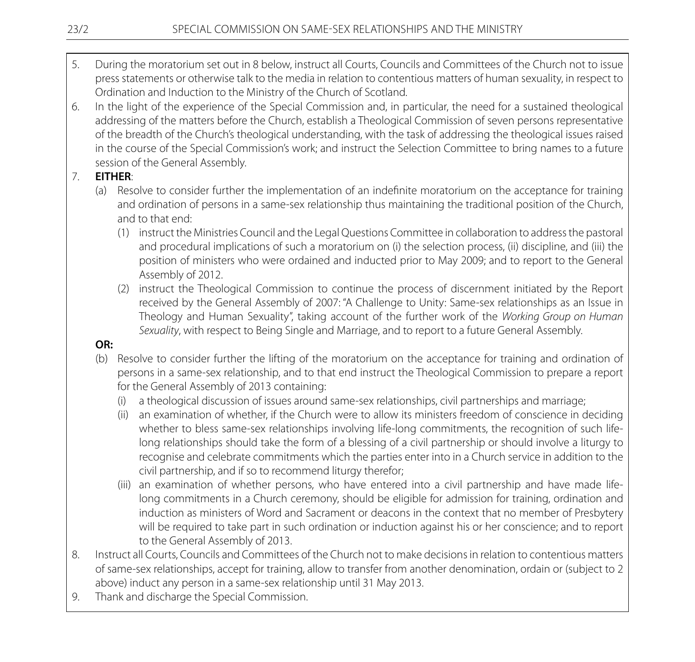- 5. During the moratorium set out in 8 below, instruct all Courts, Councils and Committees of the Church not to issue press statements or otherwise talk to the media in relation to contentious matters of human sexuality, in respect to Ordination and Induction to the Ministry of the Church of Scotland.
- 6. In the light of the experience of the Special Commission and, in particular, the need for a sustained theological addressing of the matters before the Church, establish a Theological Commission of seven persons representative of the breadth of the Church's theological understanding, with the task of addressing the theological issues raised in the course of the Special Commission's work; and instruct the Selection Committee to bring names to a future session of the General Assembly.

# 7. **EITHER**:

- (a) Resolve to consider further the implementation of an indefinite moratorium on the acceptance for training and ordination of persons in a same-sex relationship thus maintaining the traditional position of the Church, and to that end:
	- (1) instruct the Ministries Council and the Legal Questions Committee in collaboration to address the pastoral and procedural implications of such a moratorium on (i) the selection process, (ii) discipline, and (iii) the position of ministers who were ordained and inducted prior to May 2009; and to report to the General Assembly of 2012.
	- (2) instruct the Theological Commission to continue the process of discernment initiated by the Report received by the General Assembly of 2007: "A Challenge to Unity: Same-sex relationships as an Issue in Theology and Human Sexuality", taking account of the further work of the *Working Group on Human Sexuality*, with respect to Being Single and Marriage, and to report to a future General Assembly.

# **OR:**

- (b) Resolve to consider further the lifting of the moratorium on the acceptance for training and ordination of persons in a same-sex relationship, and to that end instruct the Theological Commission to prepare a report for the General Assembly of 2013 containing:
	- a theological discussion of issues around same-sex relationships, civil partnerships and marriage;
	- (ii) an examination of whether, if the Church were to allow its ministers freedom of conscience in deciding whether to bless same-sex relationships involving life-long commitments, the recognition of such lifelong relationships should take the form of a blessing of a civil partnership or should involve a liturgy to recognise and celebrate commitments which the parties enter into in a Church service in addition to the civil partnership, and if so to recommend liturgy therefor;
	- (iii) an examination of whether persons, who have entered into a civil partnership and have made lifelong commitments in a Church ceremony, should be eligible for admission for training, ordination and induction as ministers of Word and Sacrament or deacons in the context that no member of Presbytery will be required to take part in such ordination or induction against his or her conscience; and to report to the General Assembly of 2013.
- 8. Instruct all Courts, Councils and Committees of the Church not to make decisions in relation to contentious matters of same-sex relationships, accept for training, allow to transfer from another denomination, ordain or (subject to 2 above) induct any person in a same-sex relationship until 31 May 2013.
- 9. Thank and discharge the Special Commission.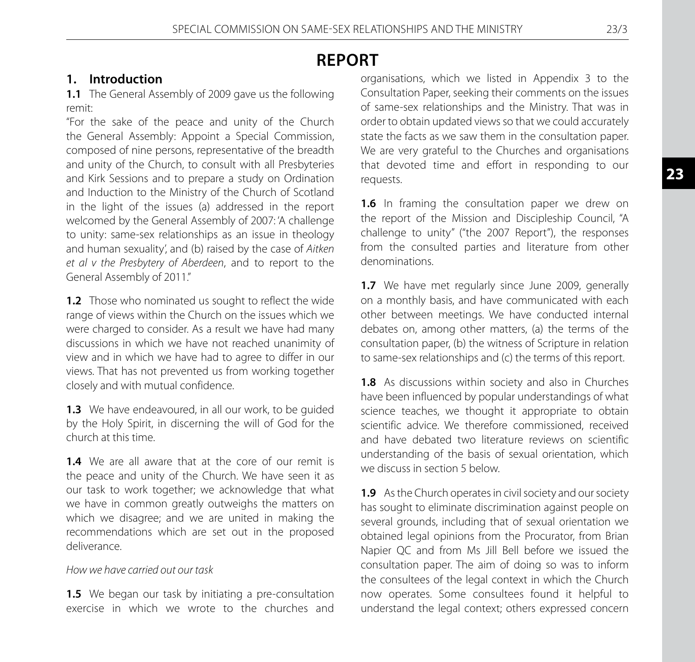# **REPORT**

# **1. Introduction**

**1.1** The General Assembly of 2009 gave us the following remit:

"For the sake of the peace and unity of the Church the General Assembly: Appoint a Special Commission, composed of nine persons, representative of the breadth and unity of the Church, to consult with all Presbyteries and Kirk Sessions and to prepare a study on Ordination and Induction to the Ministry of the Church of Scotland in the light of the issues (a) addressed in the report welcomed by the General Assembly of 2007: 'A challenge to unity: same-sex relationships as an issue in theology and human sexuality', and (b) raised by the case of *Aitken et al v the Presbytery of Aberdeen*, and to report to the General Assembly of 2011."

**1.2** Those who nominated us sought to reflect the wide range of views within the Church on the issues which we were charged to consider. As a result we have had many discussions in which we have not reached unanimity of view and in which we have had to agree to differ in our views. That has not prevented us from working together closely and with mutual confidence.

**1.3** We have endeavoured, in all our work, to be guided by the Holy Spirit, in discerning the will of God for the church at this time.

**1.4** We are all aware that at the core of our remit is the peace and unity of the Church. We have seen it as our task to work together; we acknowledge that what we have in common greatly outweighs the matters on which we disagree; and we are united in making the recommendations which are set out in the proposed deliverance.

## *How we have carried out our task*

**1.5** We began our task by initiating a pre-consultation exercise in which we wrote to the churches and organisations, which we listed in Appendix 3 to the Consultation Paper, seeking their comments on the issues of same-sex relationships and the Ministry. That was in order to obtain updated views so that we could accurately state the facts as we saw them in the consultation paper. We are very grateful to the Churches and organisations that devoted time and effort in responding to our requests.

**1.6** In framing the consultation paper we drew on the report of the Mission and Discipleship Council, "A challenge to unity" ("the 2007 Report"), the responses from the consulted parties and literature from other denominations.

**1.7** We have met regularly since June 2009, generally on a monthly basis, and have communicated with each other between meetings. We have conducted internal debates on, among other matters, (a) the terms of the consultation paper, (b) the witness of Scripture in relation to same-sex relationships and (c) the terms of this report.

**1.8** As discussions within society and also in Churches have been influenced by popular understandings of what science teaches, we thought it appropriate to obtain scientific advice. We therefore commissioned, received and have debated two literature reviews on scientific understanding of the basis of sexual orientation, which we discuss in section 5 below.

**1.9** As the Church operates in civil society and our society has sought to eliminate discrimination against people on several grounds, including that of sexual orientation we obtained legal opinions from the Procurator, from Brian Napier QC and from Ms Jill Bell before we issued the consultation paper. The aim of doing so was to inform the consultees of the legal context in which the Church now operates. Some consultees found it helpful to understand the legal context; others expressed concern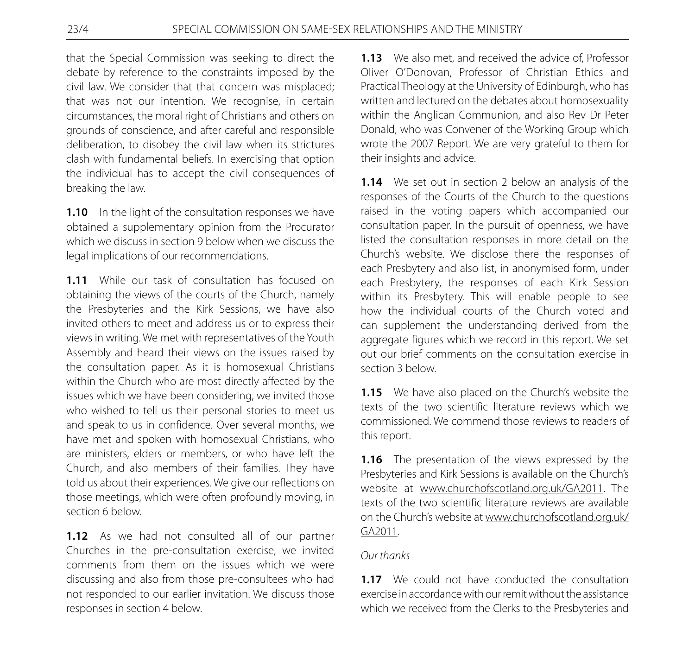that the Special Commission was seeking to direct the debate by reference to the constraints imposed by the civil law. We consider that that concern was misplaced; that was not our intention. We recognise, in certain circumstances, the moral right of Christians and others on grounds of conscience, and after careful and responsible deliberation, to disobey the civil law when its strictures clash with fundamental beliefs. In exercising that option the individual has to accept the civil consequences of breaking the law.

**1.10** In the light of the consultation responses we have obtained a supplementary opinion from the Procurator which we discuss in section 9 below when we discuss the legal implications of our recommendations.

**1.11** While our task of consultation has focused on obtaining the views of the courts of the Church, namely the Presbyteries and the Kirk Sessions, we have also invited others to meet and address us or to express their views in writing. We met with representatives of the Youth Assembly and heard their views on the issues raised by the consultation paper. As it is homosexual Christians within the Church who are most directly affected by the issues which we have been considering, we invited those who wished to tell us their personal stories to meet us and speak to us in confidence. Over several months, we have met and spoken with homosexual Christians, who are ministers, elders or members, or who have left the Church, and also members of their families. They have told us about their experiences. We give our reflections on those meetings, which were often profoundly moving, in section 6 below.

**1.12** As we had not consulted all of our partner Churches in the pre-consultation exercise, we invited comments from them on the issues which we were discussing and also from those pre-consultees who had not responded to our earlier invitation. We discuss those responses in section 4 below.

**1.13** We also met, and received the advice of, Professor Oliver O'Donovan, Professor of Christian Ethics and Practical Theology at the University of Edinburgh, who has written and lectured on the debates about homosexuality within the Anglican Communion, and also Rev Dr Peter Donald, who was Convener of the Working Group which wrote the 2007 Report. We are very grateful to them for their insights and advice.

**1.14** We set out in section 2 below an analysis of the responses of the Courts of the Church to the questions raised in the voting papers which accompanied our consultation paper. In the pursuit of openness, we have listed the consultation responses in more detail on the Church's website. We disclose there the responses of each Presbytery and also list, in anonymised form, under each Presbytery, the responses of each Kirk Session within its Presbytery. This will enable people to see how the individual courts of the Church voted and can supplement the understanding derived from the aggregate figures which we record in this report. We set out our brief comments on the consultation exercise in section 3 below.

**1.15** We have also placed on the Church's website the texts of the two scientific literature reviews which we commissioned. We commend those reviews to readers of this report.

**1.16** The presentation of the views expressed by the Presbyteries and Kirk Sessions is available on the Church's website at www.churchofscotland.org.uk/GA2011. The texts of the two scientific literature reviews are available on the Church's website at www.churchofscotland.org.uk/ GA2011.

# *Our thanks*

**1.17** We could not have conducted the consultation exercise in accordance with our remit without the assistance which we received from the Clerks to the Presbyteries and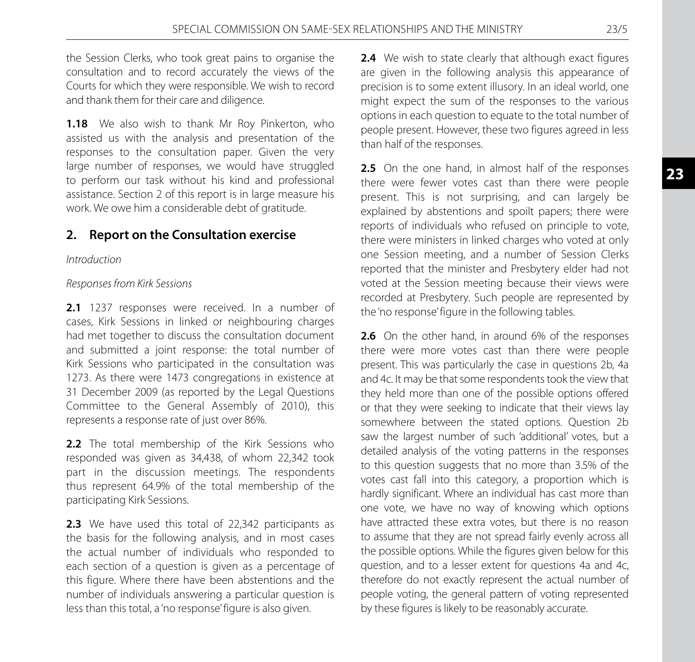the Session Clerks, who took great pains to organise the consultation and to record accurately the views of the Courts for which they were responsible. We wish to record and thank them for their care and diligence.

**1.18** We also wish to thank Mr Roy Pinkerton, who assisted us with the analysis and presentation of the responses to the consultation paper. Given the very large number of responses, we would have struggled to perform our task without his kind and professional assistance. Section 2 of this report is in large measure his work. We owe him a considerable debt of gratitude.

# **2. Report on the Consultation exercise**

#### *Introduction*

#### *Responses from Kirk Sessions*

2.1 1237 responses were received. In a number of cases, Kirk Sessions in linked or neighbouring charges had met together to discuss the consultation document and submitted a joint response: the total number of Kirk Sessions who participated in the consultation was 1273. As there were 1473 congregations in existence at 31 December 2009 (as reported by the Legal Questions Committee to the General Assembly of 2010), this represents a response rate of just over 86%.

2.2 The total membership of the Kirk Sessions who responded was given as 34,438, of whom 22,342 took part in the discussion meetings. The respondents thus represent 64.9% of the total membership of the participating Kirk Sessions.

2.3 We have used this total of 22,342 participants as the basis for the following analysis, and in most cases the actual number of individuals who responded to each section of a question is given as a percentage of this figure. Where there have been abstentions and the number of individuals answering a particular question is less than this total, a 'no response' figure is also given.

**2.4** We wish to state clearly that although exact figures are given in the following analysis this appearance of precision is to some extent illusory. In an ideal world, one might expect the sum of the responses to the various options in each question to equate to the total number of people present. However, these two figures agreed in less than half of the responses.

2.5 On the one hand, in almost half of the responses there were fewer votes cast than there were people present. This is not surprising, and can largely be explained by abstentions and spoilt papers; there were reports of individuals who refused on principle to vote, there were ministers in linked charges who voted at only one Session meeting, and a number of Session Clerks reported that the minister and Presbytery elder had not voted at the Session meeting because their views were recorded at Presbytery. Such people are represented by the 'no response' figure in the following tables.

**2.6** On the other hand, in around 6% of the responses there were more votes cast than there were people present. This was particularly the case in questions 2b, 4a and 4c. It may be that some respondents took the view that they held more than one of the possible options offered or that they were seeking to indicate that their views lay somewhere between the stated options. Question 2b saw the largest number of such 'additional' votes, but a detailed analysis of the voting patterns in the responses to this question suggests that no more than 3.5% of the votes cast fall into this category, a proportion which is hardly significant. Where an individual has cast more than one vote, we have no way of knowing which options have attracted these extra votes, but there is no reason to assume that they are not spread fairly evenly across all the possible options. While the figures given below for this question, and to a lesser extent for questions 4a and 4c, therefore do not exactly represent the actual number of people voting, the general pattern of voting represented by these figures is likely to be reasonably accurate.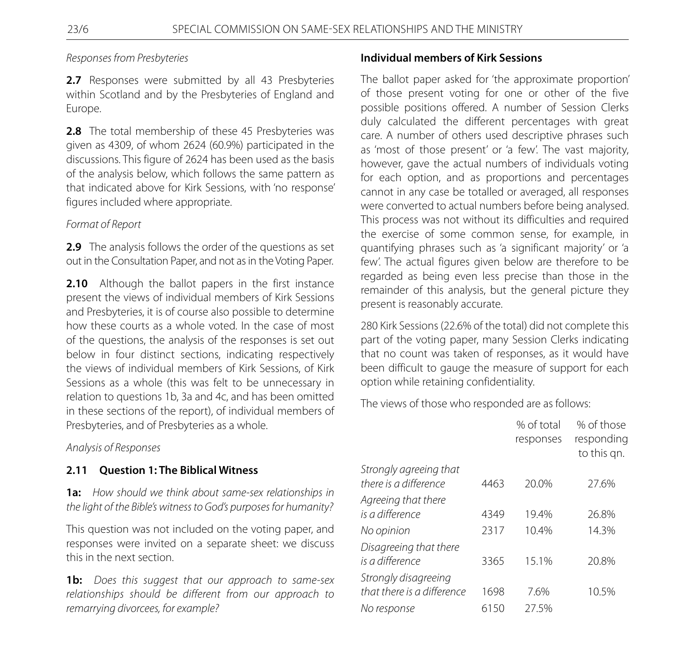# *Responses from Presbyteries*

2.7 Responses were submitted by all 43 Presbyteries within Scotland and by the Presbyteries of England and Europe.

**2.8** The total membership of these 45 Presbyteries was given as 4309, of whom 2624 (60.9%) participated in the discussions. This figure of 2624 has been used as the basis of the analysis below, which follows the same pattern as that indicated above for Kirk Sessions, with 'no response' figures included where appropriate.

# *Format of Report*

**2.9** The analysis follows the order of the questions as set out in the Consultation Paper, and not as in the Voting Paper.

**2.10** Although the ballot papers in the first instance present the views of individual members of Kirk Sessions and Presbyteries, it is of course also possible to determine how these courts as a whole voted. In the case of most of the questions, the analysis of the responses is set out below in four distinct sections, indicating respectively the views of individual members of Kirk Sessions, of Kirk Sessions as a whole (this was felt to be unnecessary in relation to questions 1b, 3a and 4c, and has been omitted in these sections of the report), of individual members of Presbyteries, and of Presbyteries as a whole.

*Analysis of Responses*

# **2.11 Question 1: The Biblical Witness**

**1a:** *How should we think about same-sex relationships in the light of the Bible's witness to God's purposes for humanity?*

This question was not included on the voting paper, and responses were invited on a separate sheet: we discuss this in the next section.

**1b:** *Does this suggest that our approach to same-sex relationships should be different from our approach to remarrying divorcees, for example?*

# **Individual members of Kirk Sessions**

The ballot paper asked for 'the approximate proportion' of those present voting for one or other of the five possible positions offered. A number of Session Clerks duly calculated the different percentages with great care. A number of others used descriptive phrases such as 'most of those present' or 'a few'. The vast majority, however, gave the actual numbers of individuals voting for each option, and as proportions and percentages cannot in any case be totalled or averaged, all responses were converted to actual numbers before being analysed. This process was not without its difficulties and required the exercise of some common sense, for example, in quantifying phrases such as 'a significant majority' or 'a few'. The actual figures given below are therefore to be regarded as being even less precise than those in the remainder of this analysis, but the general picture they present is reasonably accurate.

280 Kirk Sessions (22.6% of the total) did not complete this part of the voting paper, many Session Clerks indicating that no count was taken of responses, as it would have been difficult to gauge the measure of support for each option while retaining confidentiality.

The views of those who responded are as follows:

|                                                    |      | % of total<br>responses | % of those<br>responding<br>to this qn. |
|----------------------------------------------------|------|-------------------------|-----------------------------------------|
| Strongly agreeing that<br>there is a difference    | 4463 | 20.0%                   | 27.6%                                   |
| Agreeing that there<br>is a difference             | 4349 | 194%                    | 26.8%                                   |
| No opinion                                         | 2317 | 10.4%                   | 14.3%                                   |
| Disagreeing that there<br>is a difference          | 3365 | 15.1%                   | 20.8%                                   |
| Strongly disagreeing<br>that there is a difference | 1698 | 7.6%                    | 10.5%                                   |
| No response                                        | 6150 | 27.5%                   |                                         |
|                                                    |      |                         |                                         |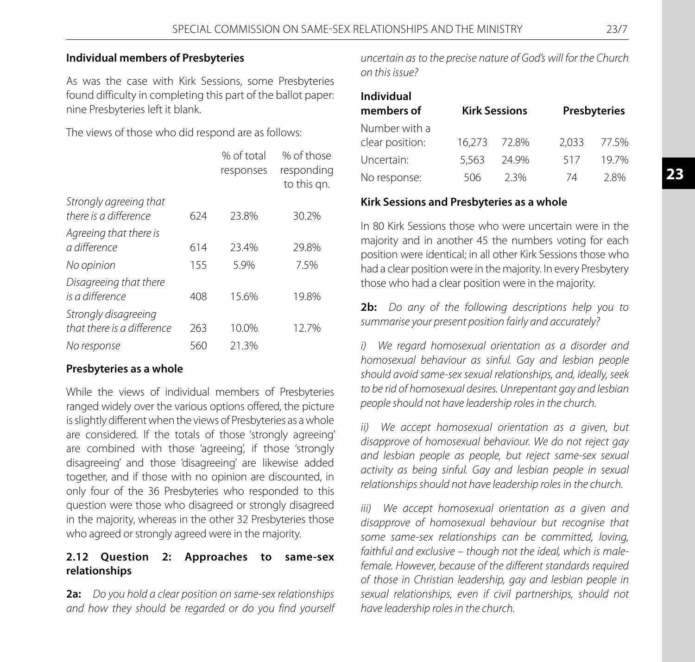## **Individual members of Presbyteries**

As was the case with Kirk Sessions, some Presbyteries found difficulty in completing this part of the ballot paper: nine Presbyteries left it blank.

The views of those who did respond are as follows:

|                                                    |     | % of total<br>responses | % of those<br>responding<br>to this an. |
|----------------------------------------------------|-----|-------------------------|-----------------------------------------|
| Strongly agreeing that<br>there is a difference    | 624 | 23.8%                   | 30.2%                                   |
| Agreeing that there is<br>a difference             | 614 | 23.4%                   | 29.8%                                   |
| No opinion                                         | 155 | 5.9%                    | 7.5%                                    |
| Disagreeing that there<br>is a difference          | 408 | 15.6%                   | 19.8%                                   |
| Strongly disagreeing<br>that there is a difference | 263 | 10.0%                   | 12.7%                                   |
| No response                                        | 560 | 21.3%                   |                                         |

# **Presbyteries as a whole**

While the views of individual members of Presbyteries ranged widely over the various options offered, the picture is slightly different when the views of Presbyteries as a whole are considered. If the totals of those 'strongly agreeing' are combined with those 'agreeing', if those 'strongly disagreeing' and those 'disagreeing' are likewise added together, and if those with no opinion are discounted, in only four of the 36 Presbyteries who responded to this question were those who disagreed or strongly disagreed in the majority, whereas in the other 32 Presbyteries those who agreed or strongly agreed were in the majority.

# **2.12 Question 2: Approaches to same-sex relationships**

**2a:** *Do you hold a clear position on same-sex relationships and how they should be regarded or do you find yourself*  *uncertain as to the precise nature of God's will for the Church on this issue?*

| <b>Individual</b><br>members of  |       | <b>Kirk Sessions</b> |       | <b>Presbyteries</b> |
|----------------------------------|-------|----------------------|-------|---------------------|
| Number with a<br>clear position: |       | 16.273 72.8%         | 2.033 | 77.5%               |
| Uncertain:                       | 5.563 | 24.9%                | 517   | 19.7%               |
| No response:                     | 506   | 2.3%                 | 74    | 2.8%                |

#### **Kirk Sessions and Presbyteries as a whole**

In 80 Kirk Sessions those who were uncertain were in the majority and in another 45 the numbers voting for each position were identical; in all other Kirk Sessions those who had a clear position were in the majority. In every Presbytery those who had a clear position were in the majority.

**2b:** *Do any of the following descriptions help you to summarise your present position fairly and accurately?*

*i) We regard homosexual orientation as a disorder and homosexual behaviour as sinful. Gay and lesbian people should avoid same-sex sexual relationships, and, ideally, seek to be rid of homosexual desires. Unrepentant gay and lesbian people should not have leadership roles in the church.*

*ii) We accept homosexual orientation as a given, but disapprove of homosexual behaviour. We do not reject gay and lesbian people as people, but reject same-sex sexual activity as being sinful. Gay and lesbian people in sexual relationships should not have leadership roles in the church.*

*iii) We accept homosexual orientation as a given and disapprove of homosexual behaviour but recognise that some same-sex relationships can be committed, loving, faithful and exclusive – though not the ideal, which is malefemale. However, because of the different standards required of those in Christian leadership, gay and lesbian people in sexual relationships, even if civil partnerships, should not have leadership roles in the church.*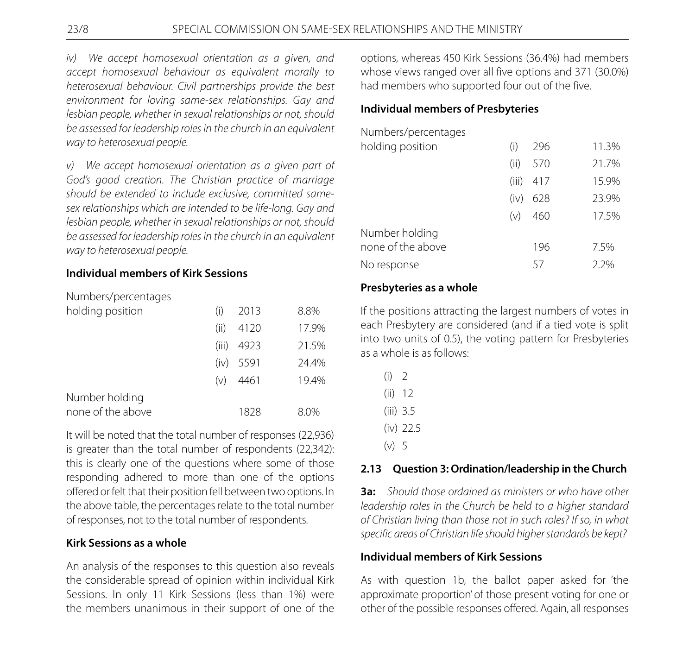*iv) We accept homosexual orientation as a given, and accept homosexual behaviour as equivalent morally to heterosexual behaviour. Civil partnerships provide the best environment for loving same-sex relationships. Gay and lesbian people, whether in sexual relationships or not, should be assessed for leadership roles in the church in an equivalent way to heterosexual people.*

*v) We accept homosexual orientation as a given part of God's good creation. The Christian practice of marriage should be extended to include exclusive, committed samesex relationships which are intended to be life-long. Gay and lesbian people, whether in sexual relationships or not, should be assessed for leadership roles in the church in an equivalent way to heterosexual people.*

# **Individual members of Kirk Sessions**

Numbers/percentages

| holding position  | (i)   | 2013 | 8.8%  |
|-------------------|-------|------|-------|
|                   | (ii)  | 4120 | 17.9% |
|                   | (iii) | 4923 | 21.5% |
|                   | (iv)  | 5591 | 24.4% |
|                   | (v)   | 4461 | 19.4% |
| Number holding    |       |      |       |
| none of the above |       | 1828 | 8.0%  |

It will be noted that the total number of responses (22,936) is greater than the total number of respondents (22,342): this is clearly one of the questions where some of those responding adhered to more than one of the options offered or felt that their position fell between two options. In the above table, the percentages relate to the total number of responses, not to the total number of respondents.

# **Kirk Sessions as a whole**

An analysis of the responses to this question also reveals the considerable spread of opinion within individual Kirk Sessions. In only 11 Kirk Sessions (less than 1%) were the members unanimous in their support of one of the options, whereas 450 Kirk Sessions (36.4%) had members whose views ranged over all five options and 371 (30.0%) had members who supported four out of the five.

# **Individual members of Presbyteries**

Numbers/percentages

| holding position  | (i)   | 296 | 11.3% |
|-------------------|-------|-----|-------|
|                   | (ii)  | 570 | 21.7% |
|                   | (iii) | 417 | 15.9% |
|                   | (iv)  | 628 | 23.9% |
|                   | (v)   | 460 | 17.5% |
| Number holding    |       |     |       |
| none of the above |       | 196 | 7.5%  |
| No response       |       | 57  | 2.2%  |

# **Presbyteries as a whole**

If the positions attracting the largest numbers of votes in each Presbytery are considered (and if a tied vote is split into two units of 0.5), the voting pattern for Presbyteries as a whole is as follows:

- (i) 2 (ii) 12 (iii) 3.5
- (iv) 22.5
- $(v) 5$

# **2.13 Question 3: Ordination/leadership in the Church**

**3a:** *Should those ordained as ministers or who have other leadership roles in the Church be held to a higher standard of Christian living than those not in such roles? If so, in what specific areas of Christian life should higher standards be kept?*

# **Individual members of Kirk Sessions**

As with question 1b, the ballot paper asked for 'the approximate proportion' of those present voting for one or other of the possible responses offered. Again, all responses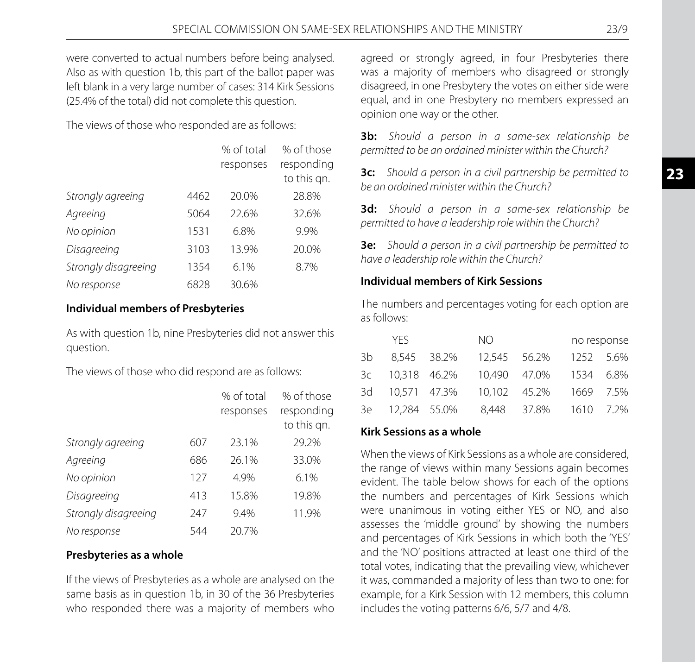were converted to actual numbers before being analysed. Also as with question 1b, this part of the ballot paper was left blank in a very large number of cases: 314 Kirk Sessions (25.4% of the total) did not complete this question.

The views of those who responded are as follows:

|                      |      | % of total<br>responses | % of those<br>responding<br>to this qn. |
|----------------------|------|-------------------------|-----------------------------------------|
| Strongly agreeing    | 4462 | 20.0%                   | 28.8%                                   |
| Agreeing             | 5064 | 22.6%                   | 32.6%                                   |
| No opinion           | 1531 | 6.8%                    | 9.9%                                    |
| Disagreeing          | 3103 | 13.9%                   | 20.0%                                   |
| Strongly disagreeing | 1354 | 6.1%                    | 8.7%                                    |
| No response          | 6828 | 30.6%                   |                                         |

# **Individual members of Presbyteries**

As with question 1b, nine Presbyteries did not answer this question.

The views of those who did respond are as follows:

|                      |     | % of total | % of those  |
|----------------------|-----|------------|-------------|
|                      |     | responses  | responding  |
|                      |     |            | to this qn. |
| Strongly agreeing    | 607 | 23.1%      | 29.2%       |
| Agreeing             | 686 | 26.1%      | 33.0%       |
| No opinion           | 127 | 4.9%       | 6.1%        |
| Disagreeing          | 413 | 15.8%      | 19.8%       |
| Strongly disagreeing | 247 | 9.4%       | 11.9%       |
| No response          | 544 | 20.7%      |             |

#### **Presbyteries as a whole**

If the views of Presbyteries as a whole are analysed on the same basis as in question 1b, in 30 of the 36 Presbyteries who responded there was a majority of members who agreed or strongly agreed, in four Presbyteries there was a majority of members who disagreed or strongly disagreed, in one Presbytery the votes on either side were equal, and in one Presbytery no members expressed an opinion one way or the other.

**3b:** *Should a person in a same-sex relationship be permitted to be an ordained minister within the Church?*

**3c:** *Should a person in a civil partnership be permitted to be an ordained minister within the Church?*

**3d:** *Should a person in a same-sex relationship be permitted to have a leadership role within the Church?*

**3e:** *Should a person in a civil partnership be permitted to have a leadership role within the Church?*

## **Individual members of Kirk Sessions**

The numbers and percentages voting for each option are as follows:

|      | YFS.            | NO.          |              |           | no response |
|------|-----------------|--------------|--------------|-----------|-------------|
| 3b - | 8.545 38.2%     | 12.545 56.2% |              | 1252 5.6% |             |
|      | 3c 10,318 46.2% |              | 10.490 47.0% | 1534 6.8% |             |
|      | 3d 10,571 47.3% | 10.102 45.2% |              |           | 1669 7.5%   |
|      | 3e 12,284 55.0% |              | 8.448 37.8%  | 1610 7.2% |             |

# **Kirk Sessions as a whole**

When the views of Kirk Sessions as a whole are considered, the range of views within many Sessions again becomes evident. The table below shows for each of the options the numbers and percentages of Kirk Sessions which were unanimous in voting either YES or NO, and also assesses the 'middle ground' by showing the numbers and percentages of Kirk Sessions in which both the 'YES' and the 'NO' positions attracted at least one third of the total votes, indicating that the prevailing view, whichever it was, commanded a majority of less than two to one: for example, for a Kirk Session with 12 members, this column includes the voting patterns 6/6, 5/7 and 4/8.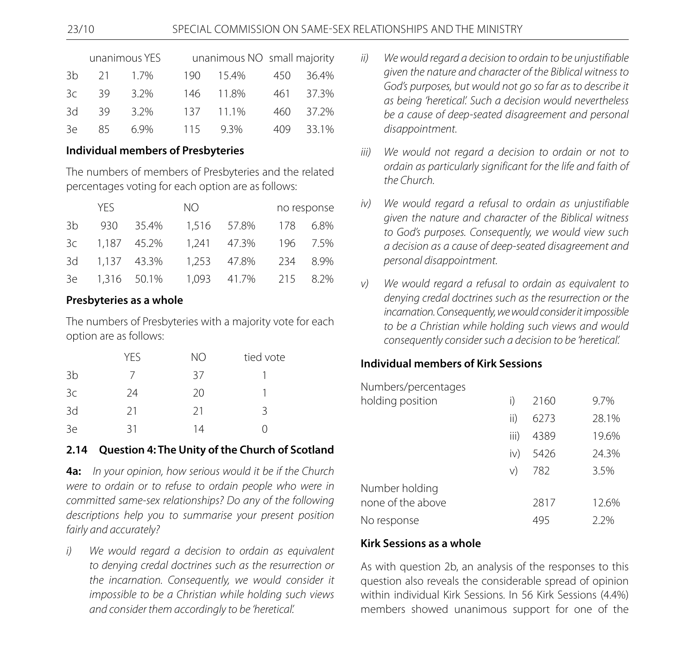|    |    | unanimous YES |     | unanimous NO small majority |     |       |
|----|----|---------------|-----|-----------------------------|-----|-------|
| Зh | 21 | 1.7%          | 190 | 15.4%                       | 450 | 36.4% |
| 3c | 39 | 3.2%          | 146 | 11.8%                       | 461 | 37.3% |
| 3d | 39 | 3.2%          | 137 | 11.1%                       | 460 | 37.2% |
| 3e | 85 | 6 ዓ%          | 115 | $9.3\%$                     | 409 | 33.1% |

# **Individual members of Presbyteries**

The numbers of members of Presbyteries and the related percentages voting for each option are as follows:

|      | YFS.           |             | NO.   |             |     | no response |
|------|----------------|-------------|-------|-------------|-----|-------------|
| 3b.  | 930            | 35.4%       |       | 1.516 57.8% | 178 | 6.8%        |
|      | 3c 1,187 45.2% |             |       | 1.241 47.3% |     | 196 7.5%    |
| 3d   |                | 1,137 43.3% |       | 1.253 47.8% |     | 234 8.9%    |
| 3e - |                | 1,316 50.1% | 1.093 | 41.7%       | 215 | 8.2%        |

# **Presbyteries as a whole**

The numbers of Presbyteries with a majority vote for each option are as follows:

|                | YES | <b>NO</b> | tied vote |
|----------------|-----|-----------|-----------|
| 3 <sub>b</sub> |     | 37        |           |
| 3c             | 24  | 20        |           |
| 3d             | 21  | 21        | ζ         |
| 3e             | 31  | 14        |           |

# **2.14 Question 4: The Unity of the Church of Scotland**

**4a:** *In your opinion, how serious would it be if the Church were to ordain or to refuse to ordain people who were in committed same-sex relationships? Do any of the following descriptions help you to summarise your present position fairly and accurately?*

*i)**We would regard a decision to ordain as equivalent to denying credal doctrines such as the resurrection or the incarnation. Consequently, we would consider it impossible to be a Christian while holding such views and consider them accordingly to be 'heretical'.*

- *ii)**We would regard a decision to ordain to be unjustifiable given the nature and character of the Biblical witness to God's purposes, but would not go so far as to describe it as being 'heretical'. Such a decision would nevertheless be a cause of deep-seated disagreement and personal disappointment.*
- *iii)**We would not regard a decision to ordain or not to ordain as particularly significant for the life and faith of the Church.*
- *iv)**We would regard a refusal to ordain as unjustifiable given the nature and character of the Biblical witness to God's purposes. Consequently, we would view such a decision as a cause of deep-seated disagreement and personal disappointment.*
- *v)**We would regard a refusal to ordain as equivalent to denying credal doctrines such as the resurrection or the incarnation. Consequently, we would consider it impossible to be a Christian while holding such views and would consequently consider such a decision to be 'heretical'.*

# **Individual members of Kirk Sessions**

Numbers/percentages

| holding position  |      | 2160 | 9.7%  |
|-------------------|------|------|-------|
|                   | ii)  | 6273 | 28.1% |
|                   | iii) | 4389 | 19.6% |
|                   | iv)  | 5426 | 24.3% |
|                   | V)   | 782  | 3.5%  |
| Number holding    |      |      |       |
| none of the above |      | 2817 | 12.6% |
| No response       |      | 495  | 2.2%  |

# **Kirk Sessions as a whole**

As with question 2b, an analysis of the responses to this question also reveals the considerable spread of opinion within individual Kirk Sessions. In 56 Kirk Sessions (4.4%) members showed unanimous support for one of the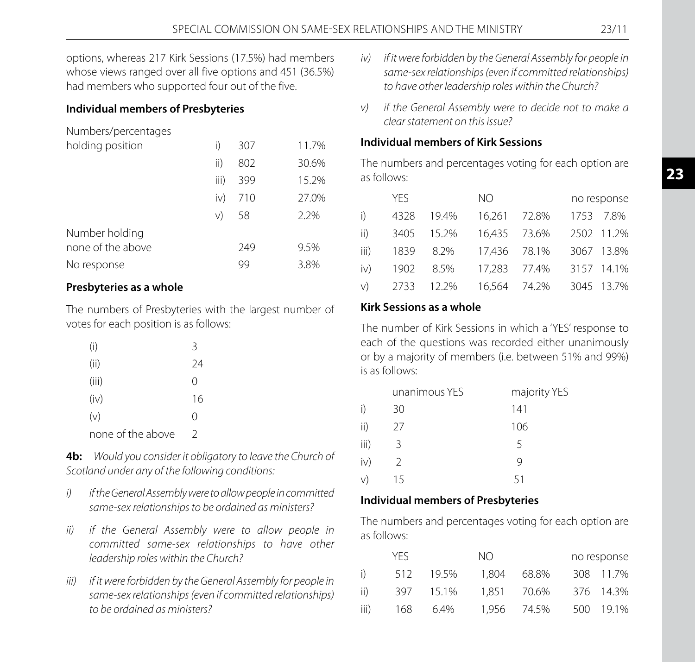options, whereas 217 Kirk Sessions (17.5%) had members whose views ranged over all five options and 451 (36.5%) had members who supported four out of the five.

# **Individual members of Presbyteries**

Numbers/percentages

| i)   | 307 | 11.7% |
|------|-----|-------|
| ii)  | 802 | 30.6% |
| iii) | 399 | 15.2% |
| iv)  | 710 | 27.0% |
| V)   | 58  | 2.2%  |
|      |     |       |
|      | 249 | 9.5%  |
|      | 99  | 3.8%  |
|      |     |       |

# **Presbyteries as a whole**

The numbers of Presbyteries with the largest number of votes for each position is as follows:

| (i)               | 3             |
|-------------------|---------------|
| (ii)              | 24            |
| (iii)             | Ω             |
| (iv)              | 16            |
| (v)               | Ω             |
| none of the above | $\mathcal{D}$ |

**4b:** *Would you consider it obligatory to leave the Church of Scotland under any of the following conditions:*

- *i)**if the General Assembly were to allow people in committed same-sex relationships to be ordained as ministers?*
- *ii)**if the General Assembly were to allow people in committed same-sex relationships to have other leadership roles within the Church?*
- *iii)**if it were forbidden by the General Assembly for people in same-sex relationships (even if committed relationships) to be ordained as ministers?*
- *iv)**if it were forbidden by the General Assembly for people in same-sex relationships (even if committed relationships) to have other leadership roles within the Church?*
- *v)**if the General Assembly were to decide not to make a clear statement on this issue?*

## **Individual members of Kirk Sessions**

The numbers and percentages voting for each option are as follows:

|      | <b>YFS</b> |            | NO.          |              |  | no response |  |
|------|------------|------------|--------------|--------------|--|-------------|--|
| i)   | 4328       | 19.4%      | 16.261 72.8% |              |  | 1753 7.8%   |  |
| ii)  |            | 3405 15.2% | 16,435 73.6% |              |  | 2502 11.2%  |  |
| iii) | 1839       | - 8.2%     | 17.436 78.1% |              |  | 3067 13.8%  |  |
| iv)  | 1902       | 8.5%       | 17.283 77.4% |              |  | 3157 14.1%  |  |
| V)   |            | 2733 12.2% |              | 16,564 74.2% |  | 3045 13.7%  |  |

# **Kirk Sessions as a whole**

The number of Kirk Sessions in which a 'YES' response to each of the questions was recorded either unanimously or by a majority of members (i.e. between 51% and 99%) is as follows:

|      | unanimous YES | majority YES |
|------|---------------|--------------|
| i)   | 30            | 141          |
| ii)  | 27            | 106          |
| iii) | 3             | 5            |
| iv)  | 2             | 9            |
| V)   | 15            | 51           |

# **Individual members of Presbyteries**

The numbers and percentages voting for each option are as follows:

|      | YFS. |       | NO.   |             | no response |
|------|------|-------|-------|-------------|-------------|
| i)   | 512  | 19.5% | 1.804 | 68.8%       | 308 11.7%   |
| ii)  | 397  | 15.1% |       | 1.851 70.6% | 376 14.3%   |
| iii) | 168  | 6.4%  |       | 1.956 74.5% | 500 19.1%   |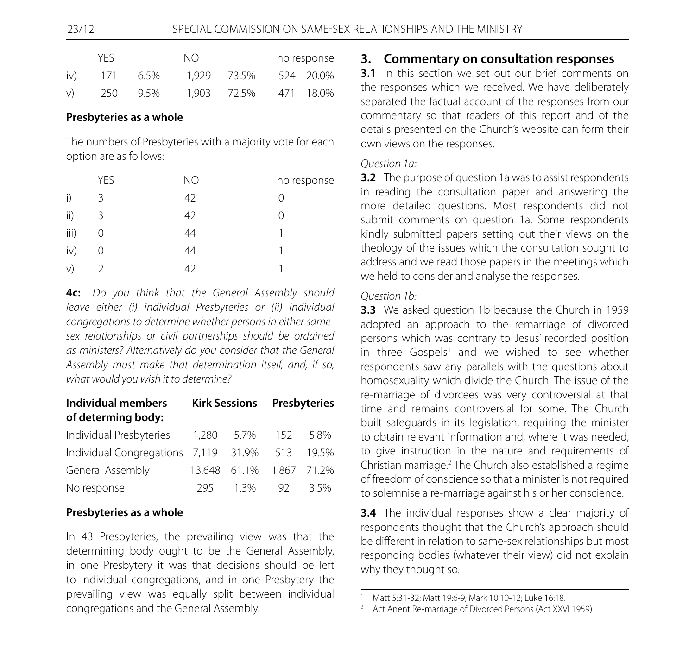| YFS.<br>N() |     | no response |             |  |           |
|-------------|-----|-------------|-------------|--|-----------|
| iv)         | 171 | 6.5%        | 1.929 73.5% |  | 524 20.0% |
| V           | 250 | 9.5%        | 1.903 72.5% |  | 471 18.0% |

#### **Presbyteries as a whole**

The numbers of Presbyteries with a majority vote for each option are as follows:

|      | <b>YES</b> | NO | no response |
|------|------------|----|-------------|
| i)   | 3          | 42 |             |
| ii)  | 3          | 42 | Ω           |
| iii) | 0          | 44 |             |
| iv)  | 0          | 44 |             |
| V)   |            | 42 |             |

**4c:** *Do you think that the General Assembly should leave either (i) individual Presbyteries or (ii) individual congregations to determine whether persons in either samesex relationships or civil partnerships should be ordained as ministers? Alternatively do you consider that the General Assembly must make that determination itself, and, if so, what would you wish it to determine?*

| Individual members<br>of determing body:       | <b>Kirk Sessions Presbyteries</b> |                          |    |        |
|------------------------------------------------|-----------------------------------|--------------------------|----|--------|
| Individual Presbyteries                        |                                   | 1,280 5.7% 152           |    | - 5.8% |
| Individual Congregations 7,119 31.9% 513 19.5% |                                   |                          |    |        |
| General Assembly                               |                                   | 13,648 61.1% 1,867 71.2% |    |        |
| No response                                    | 295                               | 1.3%                     | 92 | 3.5%   |

#### **Presbyteries as a whole**

In 43 Presbyteries, the prevailing view was that the determining body ought to be the General Assembly, in one Presbytery it was that decisions should be left to individual congregations, and in one Presbytery the prevailing view was equally split between individual congregations and the General Assembly.

#### **3. Commentary on consultation responses**

**3.1** In this section we set out our brief comments on the responses which we received. We have deliberately separated the factual account of the responses from our commentary so that readers of this report and of the details presented on the Church's website can form their own views on the responses.

#### *Question 1a:*

**3.2** The purpose of question 1a was to assist respondents in reading the consultation paper and answering the more detailed questions. Most respondents did not submit comments on question 1a. Some respondents kindly submitted papers setting out their views on the theology of the issues which the consultation sought to address and we read those papers in the meetings which we held to consider and analyse the responses.

#### *Question 1b:*

**3.3** We asked question 1b because the Church in 1959 adopted an approach to the remarriage of divorced persons which was contrary to Jesus' recorded position in three Gospels<sup>1</sup> and we wished to see whether respondents saw any parallels with the questions about homosexuality which divide the Church. The issue of the re-marriage of divorcees was very controversial at that time and remains controversial for some. The Church built safeguards in its legislation, requiring the minister to obtain relevant information and, where it was needed, to give instruction in the nature and requirements of Christian marriage.<sup>2</sup> The Church also established a regime of freedom of conscience so that a minister is not required to solemnise a re-marriage against his or her conscience.

**3.4** The individual responses show a clear majority of respondents thought that the Church's approach should be different in relation to same-sex relationships but most responding bodies (whatever their view) did not explain why they thought so.

<sup>1</sup> Matt 5:31-32; Matt 19:6-9; Mark 10:10-12; Luke 16:18.

<sup>2</sup> Act Anent Re-marriage of Divorced Persons (Act XXVI 1959)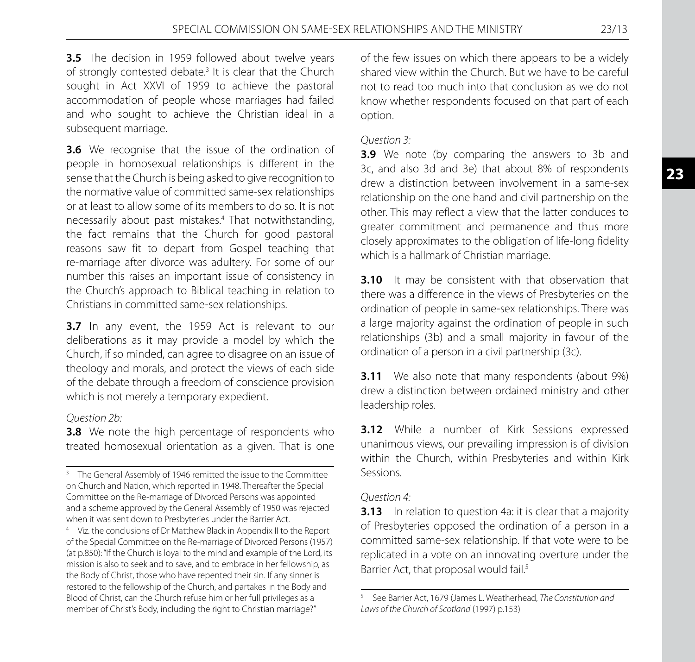**3.5** The decision in 1959 followed about twelve years of strongly contested debate.<sup>3</sup> It is clear that the Church sought in Act XXVI of 1959 to achieve the pastoral accommodation of people whose marriages had failed and who sought to achieve the Christian ideal in a subsequent marriage.

**3.6** We recognise that the issue of the ordination of people in homosexual relationships is different in the sense that the Church is being asked to give recognition to the normative value of committed same-sex relationships or at least to allow some of its members to do so. It is not necessarily about past mistakes.4 That notwithstanding, the fact remains that the Church for good pastoral reasons saw fit to depart from Gospel teaching that re-marriage after divorce was adultery. For some of our number this raises an important issue of consistency in the Church's approach to Biblical teaching in relation to Christians in committed same-sex relationships.

**3.7** In any event, the 1959 Act is relevant to our deliberations as it may provide a model by which the Church, if so minded, can agree to disagree on an issue of theology and morals, and protect the views of each side of the debate through a freedom of conscience provision which is not merely a temporary expedient.

#### *Question 2b:*

**3.8** We note the high percentage of respondents who treated homosexual orientation as a given. That is one of the few issues on which there appears to be a widely shared view within the Church. But we have to be careful not to read too much into that conclusion as we do not know whether respondents focused on that part of each option.

#### *Question 3:*

**3.9** We note (by comparing the answers to 3b and 3c, and also 3d and 3e) that about 8% of respondents drew a distinction between involvement in a same-sex relationship on the one hand and civil partnership on the other. This may reflect a view that the latter conduces to greater commitment and permanence and thus more closely approximates to the obligation of life-long fidelity which is a hallmark of Christian marriage.

**3.10** It may be consistent with that observation that there was a difference in the views of Presbyteries on the ordination of people in same-sex relationships. There was a large majority against the ordination of people in such relationships (3b) and a small majority in favour of the ordination of a person in a civil partnership (3c).

**3.11** We also note that many respondents (about 9%) drew a distinction between ordained ministry and other leadership roles.

**3.12** While a number of Kirk Sessions expressed unanimous views, our prevailing impression is of division within the Church, within Presbyteries and within Kirk Sessions.

#### *Question 4:*

**3.13** In relation to question 4a: it is clear that a majority of Presbyteries opposed the ordination of a person in a committed same-sex relationship. If that vote were to be replicated in a vote on an innovating overture under the Barrier Act, that proposal would fail.<sup>5</sup>

<sup>&</sup>lt;sup>3</sup> The General Assembly of 1946 remitted the issue to the Committee on Church and Nation, which reported in 1948. Thereafter the Special Committee on the Re-marriage of Divorced Persons was appointed and a scheme approved by the General Assembly of 1950 was rejected when it was sent down to Presbyteries under the Barrier Act.

<sup>4</sup> Viz. the conclusions of Dr Matthew Black in Appendix II to the Report of the Special Committee on the Re-marriage of Divorced Persons (1957) (at p.850): "If the Church is loyal to the mind and example of the Lord, its mission is also to seek and to save, and to embrace in her fellowship, as the Body of Christ, those who have repented their sin. If any sinner is restored to the fellowship of the Church, and partakes in the Body and Blood of Christ, can the Church refuse him or her full privileges as a member of Christ's Body, including the right to Christian marriage?"

<sup>5</sup> See Barrier Act, 1679 (James L. Weatherhead, *The Constitution and Laws of the Church of Scotland* (1997) p.153)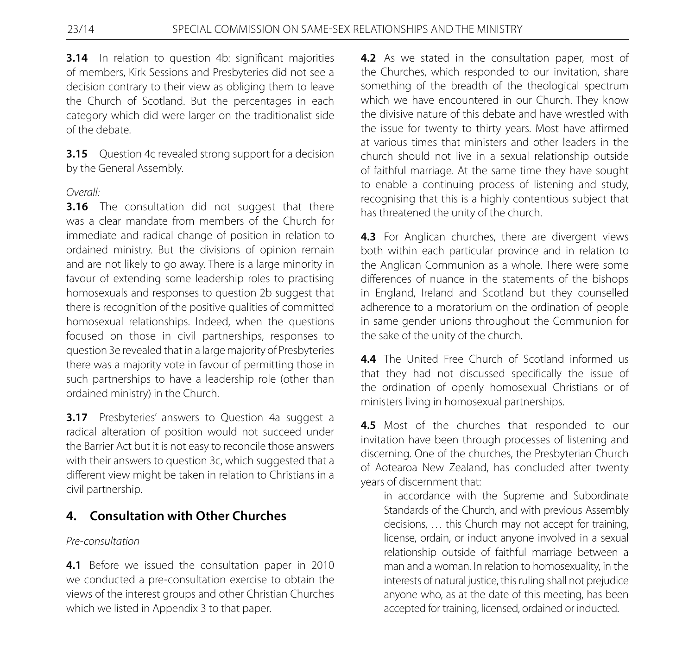**3.14** In relation to question 4b: significant majorities of members, Kirk Sessions and Presbyteries did not see a decision contrary to their view as obliging them to leave the Church of Scotland. But the percentages in each category which did were larger on the traditionalist side of the debate.

**3.15** Question 4c revealed strong support for a decision by the General Assembly.

#### *Overall:*

**3.16** The consultation did not suggest that there was a clear mandate from members of the Church for immediate and radical change of position in relation to ordained ministry. But the divisions of opinion remain and are not likely to go away. There is a large minority in favour of extending some leadership roles to practising homosexuals and responses to question 2b suggest that there is recognition of the positive qualities of committed homosexual relationships. Indeed, when the questions focused on those in civil partnerships, responses to question 3e revealed that in a large majority of Presbyteries there was a majority vote in favour of permitting those in such partnerships to have a leadership role (other than ordained ministry) in the Church.

**3.17** Presbyteries' answers to Question 4a suggest a radical alteration of position would not succeed under the Barrier Act but it is not easy to reconcile those answers with their answers to question 3c, which suggested that a different view might be taken in relation to Christians in a civil partnership.

# **4. Consultation with Other Churches**

# *Pre-consultation*

**4.1** Before we issued the consultation paper in 2010 we conducted a pre-consultation exercise to obtain the views of the interest groups and other Christian Churches which we listed in Appendix 3 to that paper.

**4.2** As we stated in the consultation paper, most of the Churches, which responded to our invitation, share something of the breadth of the theological spectrum which we have encountered in our Church. They know the divisive nature of this debate and have wrestled with the issue for twenty to thirty years. Most have affirmed at various times that ministers and other leaders in the church should not live in a sexual relationship outside of faithful marriage. At the same time they have sought to enable a continuing process of listening and study, recognising that this is a highly contentious subject that has threatened the unity of the church.

**4.3** For Anglican churches, there are divergent views both within each particular province and in relation to the Anglican Communion as a whole. There were some differences of nuance in the statements of the bishops in England, Ireland and Scotland but they counselled adherence to a moratorium on the ordination of people in same gender unions throughout the Communion for the sake of the unity of the church.

**4.4** The United Free Church of Scotland informed us that they had not discussed specifically the issue of the ordination of openly homosexual Christians or of ministers living in homosexual partnerships.

**4.5** Most of the churches that responded to our invitation have been through processes of listening and discerning. One of the churches, the Presbyterian Church of Aotearoa New Zealand, has concluded after twenty years of discernment that:

 in accordance with the Supreme and Subordinate Standards of the Church, and with previous Assembly decisions, … this Church may not accept for training, license, ordain, or induct anyone involved in a sexual relationship outside of faithful marriage between a man and a woman. In relation to homosexuality, in the interests of natural justice, this ruling shall not prejudice anyone who, as at the date of this meeting, has been accepted for training, licensed, ordained or inducted.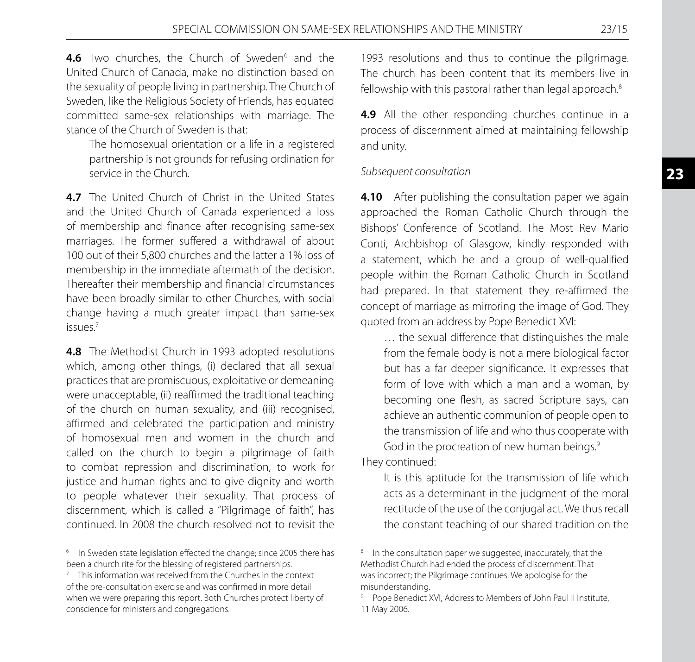4.6 Two churches, the Church of Sweden<sup>6</sup> and the United Church of Canada, make no distinction based on the sexuality of people living in partnership. The Church of Sweden, like the Religious Society of Friends, has equated committed same-sex relationships with marriage. The stance of the Church of Sweden is that:

 The homosexual orientation or a life in a registered partnership is not grounds for refusing ordination for service in the Church.

**4.7** The United Church of Christ in the United States and the United Church of Canada experienced a loss of membership and finance after recognising same-sex marriages. The former suffered a withdrawal of about 100 out of their 5,800 churches and the latter a 1% loss of membership in the immediate aftermath of the decision. Thereafter their membership and financial circumstances have been broadly similar to other Churches, with social change having a much greater impact than same-sex issues.7

**4.8** The Methodist Church in 1993 adopted resolutions which, among other things, (i) declared that all sexual practices that are promiscuous, exploitative or demeaning were unacceptable, (ii) reaffirmed the traditional teaching of the church on human sexuality, and (iii) recognised, affirmed and celebrated the participation and ministry of homosexual men and women in the church and called on the church to begin a pilgrimage of faith to combat repression and discrimination, to work for justice and human rights and to give dignity and worth to people whatever their sexuality. That process of discernment, which is called a "Pilgrimage of faith", has continued. In 2008 the church resolved not to revisit the

1993 resolutions and thus to continue the pilgrimage. The church has been content that its members live in fellowship with this pastoral rather than legal approach.<sup>8</sup>

**4.9** All the other responding churches continue in a process of discernment aimed at maintaining fellowship and unity.

#### *Subsequent consultation*

**4.10** After publishing the consultation paper we again approached the Roman Catholic Church through the Bishops' Conference of Scotland. The Most Rev Mario Conti, Archbishop of Glasgow, kindly responded with a statement, which he and a group of well-qualified people within the Roman Catholic Church in Scotland had prepared. In that statement they re-affirmed the concept of marriage as mirroring the image of God. They quoted from an address by Pope Benedict XVI:

 … the sexual difference that distinguishes the male from the female body is not a mere biological factor but has a far deeper significance. It expresses that form of love with which a man and a woman, by becoming one flesh, as sacred Scripture says, can achieve an authentic communion of people open to the transmission of life and who thus cooperate with God in the procreation of new human beings.<sup>9</sup>

They continued:

 It is this aptitude for the transmission of life which acts as a determinant in the judgment of the moral rectitude of the use of the conjugal act. We thus recall the constant teaching of our shared tradition on the

<sup>&</sup>lt;sup>6</sup> In Sweden state legislation effected the change; since 2005 there has been a church rite for the blessing of registered partnerships.

 $7$  This information was received from the Churches in the context of the pre-consultation exercise and was confirmed in more detail when we were preparing this report. Both Churches protect liberty of conscience for ministers and congregations.

<sup>&</sup>lt;sup>8</sup> In the consultation paper we suggested, inaccurately, that the Methodist Church had ended the process of discernment. That was incorrect; the Pilgrimage continues. We apologise for the misunderstanding.

<sup>9</sup> Pope Benedict XVI, Address to Members of John Paul II Institute, 11 May 2006.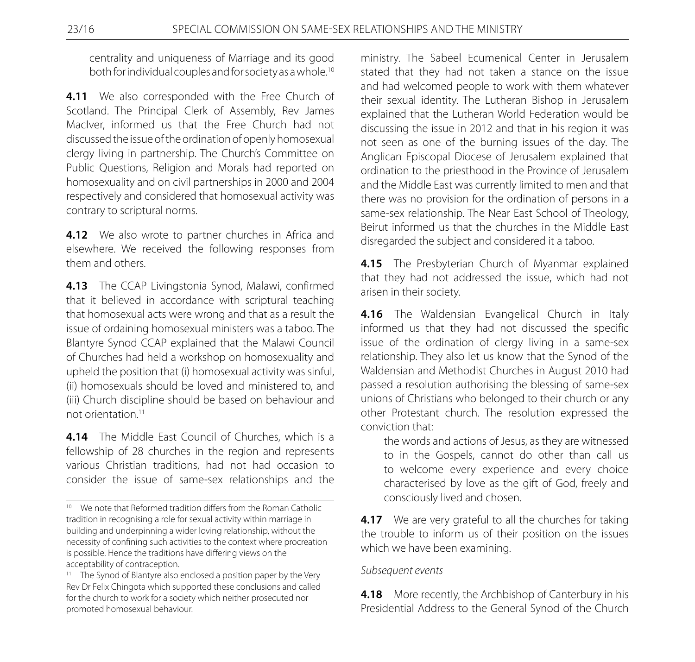centrality and uniqueness of Marriage and its good both for individual couples and for society as a whole.10

**4.11** We also corresponded with the Free Church of Scotland. The Principal Clerk of Assembly, Rev James MacIver, informed us that the Free Church had not discussed the issue of the ordination of openly homosexual clergy living in partnership. The Church's Committee on Public Questions, Religion and Morals had reported on homosexuality and on civil partnerships in 2000 and 2004 respectively and considered that homosexual activity was contrary to scriptural norms.

**4.12** We also wrote to partner churches in Africa and elsewhere. We received the following responses from them and others.

**4.13** The CCAP Livingstonia Synod, Malawi, confirmed that it believed in accordance with scriptural teaching that homosexual acts were wrong and that as a result the issue of ordaining homosexual ministers was a taboo. The Blantyre Synod CCAP explained that the Malawi Council of Churches had held a workshop on homosexuality and upheld the position that (i) homosexual activity was sinful, (ii) homosexuals should be loved and ministered to, and (iii) Church discipline should be based on behaviour and not orientation.11

**4.14** The Middle East Council of Churches, which is a fellowship of 28 churches in the region and represents various Christian traditions, had not had occasion to consider the issue of same-sex relationships and the ministry. The Sabeel Ecumenical Center in Jerusalem stated that they had not taken a stance on the issue and had welcomed people to work with them whatever their sexual identity. The Lutheran Bishop in Jerusalem explained that the Lutheran World Federation would be discussing the issue in 2012 and that in his region it was not seen as one of the burning issues of the day. The Anglican Episcopal Diocese of Jerusalem explained that ordination to the priesthood in the Province of Jerusalem and the Middle East was currently limited to men and that there was no provision for the ordination of persons in a same-sex relationship. The Near East School of Theology, Beirut informed us that the churches in the Middle East disregarded the subject and considered it a taboo.

**4.15** The Presbyterian Church of Myanmar explained that they had not addressed the issue, which had not arisen in their society.

**4.16** The Waldensian Evangelical Church in Italy informed us that they had not discussed the specific issue of the ordination of clergy living in a same-sex relationship. They also let us know that the Synod of the Waldensian and Methodist Churches in August 2010 had passed a resolution authorising the blessing of same-sex unions of Christians who belonged to their church or any other Protestant church. The resolution expressed the conviction that:

 the words and actions of Jesus, as they are witnessed to in the Gospels, cannot do other than call us to welcome every experience and every choice characterised by love as the gift of God, freely and consciously lived and chosen.

**4.17** We are very grateful to all the churches for taking the trouble to inform us of their position on the issues which we have been examining.

#### *Subsequent events*

**4.18** More recently, the Archbishop of Canterbury in his Presidential Address to the General Synod of the Church

<sup>&</sup>lt;sup>10</sup> We note that Reformed tradition differs from the Roman Catholic tradition in recognising a role for sexual activity within marriage in building and underpinning a wider loving relationship, without the necessity of confining such activities to the context where procreation is possible. Hence the traditions have differing views on the acceptability of contraception.

<sup>&</sup>lt;sup>11</sup> The Synod of Blantyre also enclosed a position paper by the Very Rev Dr Felix Chingota which supported these conclusions and called for the church to work for a society which neither prosecuted nor promoted homosexual behaviour.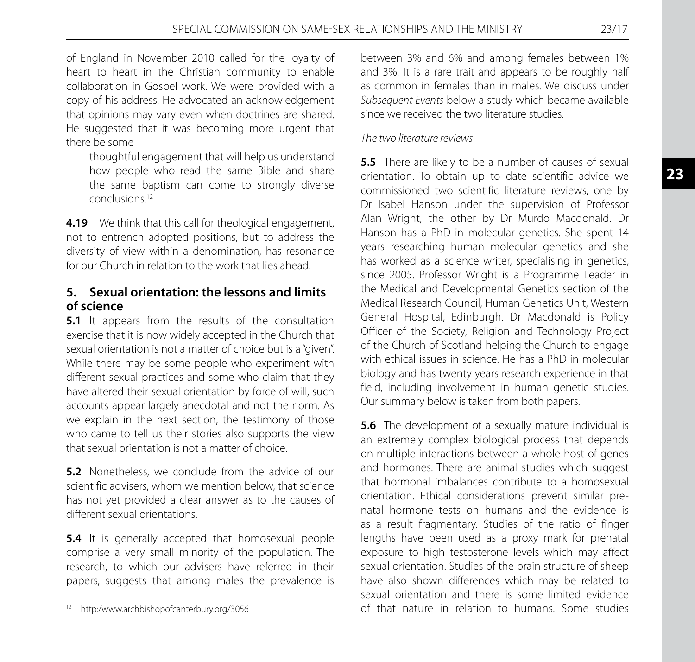of England in November 2010 called for the loyalty of heart to heart in the Christian community to enable collaboration in Gospel work. We were provided with a copy of his address. He advocated an acknowledgement that opinions may vary even when doctrines are shared. He suggested that it was becoming more urgent that there be some

 thoughtful engagement that will help us understand how people who read the same Bible and share the same baptism can come to strongly diverse conclusions.12

**4.19** We think that this call for theological engagement, not to entrench adopted positions, but to address the diversity of view within a denomination, has resonance for our Church in relation to the work that lies ahead.

# **5. Sexual orientation: the lessons and limits of science**

**5.1** It appears from the results of the consultation exercise that it is now widely accepted in the Church that sexual orientation is not a matter of choice but is a "given". While there may be some people who experiment with different sexual practices and some who claim that they have altered their sexual orientation by force of will, such accounts appear largely anecdotal and not the norm. As we explain in the next section, the testimony of those who came to tell us their stories also supports the view that sexual orientation is not a matter of choice.

**5.2** Nonetheless, we conclude from the advice of our scientific advisers, whom we mention below, that science has not yet provided a clear answer as to the causes of different sexual orientations.

**5.4** It is generally accepted that homosexual people comprise a very small minority of the population. The research, to which our advisers have referred in their papers, suggests that among males the prevalence is

between 3% and 6% and among females between 1% and 3%. It is a rare trait and appears to be roughly half as common in females than in males. We discuss under *Subsequent Events* below a study which became available since we received the two literature studies.

#### *The two literature reviews*

**5.5** There are likely to be a number of causes of sexual orientation. To obtain up to date scientific advice we commissioned two scientific literature reviews, one by Dr Isabel Hanson under the supervision of Professor Alan Wright, the other by Dr Murdo Macdonald. Dr Hanson has a PhD in molecular genetics. She spent 14 years researching human molecular genetics and she has worked as a science writer, specialising in genetics, since 2005. Professor Wright is a Programme Leader in the Medical and Developmental Genetics section of the Medical Research Council, Human Genetics Unit, Western General Hospital, Edinburgh. Dr Macdonald is Policy Officer of the Society, Religion and Technology Project of the Church of Scotland helping the Church to engage with ethical issues in science. He has a PhD in molecular biology and has twenty years research experience in that field, including involvement in human genetic studies. Our summary below is taken from both papers.

**5.6** The development of a sexually mature individual is an extremely complex biological process that depends on multiple interactions between a whole host of genes and hormones. There are animal studies which suggest that hormonal imbalances contribute to a homosexual orientation. Ethical considerations prevent similar prenatal hormone tests on humans and the evidence is as a result fragmentary. Studies of the ratio of finger lengths have been used as a proxy mark for prenatal exposure to high testosterone levels which may affect sexual orientation. Studies of the brain structure of sheep have also shown differences which may be related to sexual orientation and there is some limited evidence of that nature in relation to humans. Some studies

<sup>12</sup> http:/www.archbishopofcanterbury.org/3056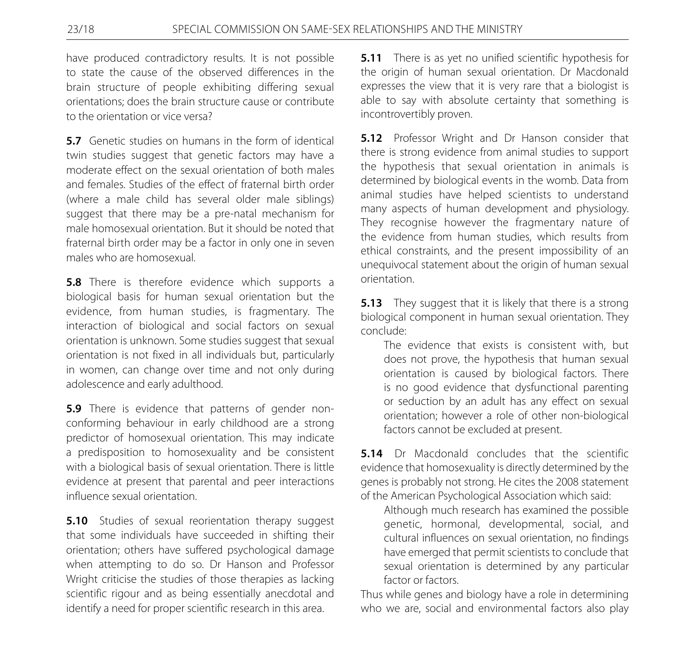have produced contradictory results. It is not possible to state the cause of the observed differences in the brain structure of people exhibiting differing sexual orientations; does the brain structure cause or contribute to the orientation or vice versa?

**5.7** Genetic studies on humans in the form of identical twin studies suggest that genetic factors may have a moderate effect on the sexual orientation of both males and females. Studies of the effect of fraternal birth order (where a male child has several older male siblings) suggest that there may be a pre-natal mechanism for male homosexual orientation. But it should be noted that fraternal birth order may be a factor in only one in seven males who are homosexual.

**5.8** There is therefore evidence which supports a biological basis for human sexual orientation but the evidence, from human studies, is fragmentary. The interaction of biological and social factors on sexual orientation is unknown. Some studies suggest that sexual orientation is not fixed in all individuals but, particularly in women, can change over time and not only during adolescence and early adulthood.

**5.9** There is evidence that patterns of gender nonconforming behaviour in early childhood are a strong predictor of homosexual orientation. This may indicate a predisposition to homosexuality and be consistent with a biological basis of sexual orientation. There is little evidence at present that parental and peer interactions influence sexual orientation.

**5.10** Studies of sexual reorientation therapy suggest that some individuals have succeeded in shifting their orientation; others have suffered psychological damage when attempting to do so. Dr Hanson and Professor Wright criticise the studies of those therapies as lacking scientific rigour and as being essentially anecdotal and identify a need for proper scientific research in this area.

**5.11** There is as yet no unified scientific hypothesis for the origin of human sexual orientation. Dr Macdonald expresses the view that it is very rare that a biologist is able to say with absolute certainty that something is incontrovertibly proven.

**5.12** Professor Wright and Dr Hanson consider that there is strong evidence from animal studies to support the hypothesis that sexual orientation in animals is determined by biological events in the womb. Data from animal studies have helped scientists to understand many aspects of human development and physiology. They recognise however the fragmentary nature of the evidence from human studies, which results from ethical constraints, and the present impossibility of an unequivocal statement about the origin of human sexual orientation.

**5.13** They suggest that it is likely that there is a strong biological component in human sexual orientation. They conclude:

 The evidence that exists is consistent with, but does not prove, the hypothesis that human sexual orientation is caused by biological factors. There is no good evidence that dysfunctional parenting or seduction by an adult has any effect on sexual orientation; however a role of other non-biological factors cannot be excluded at present.

**5.14** Dr Macdonald concludes that the scientific evidence that homosexuality is directly determined by the genes is probably not strong. He cites the 2008 statement of the American Psychological Association which said:

 Although much research has examined the possible genetic, hormonal, developmental, social, and cultural influences on sexual orientation, no findings have emerged that permit scientists to conclude that sexual orientation is determined by any particular factor or factors.

Thus while genes and biology have a role in determining who we are, social and environmental factors also play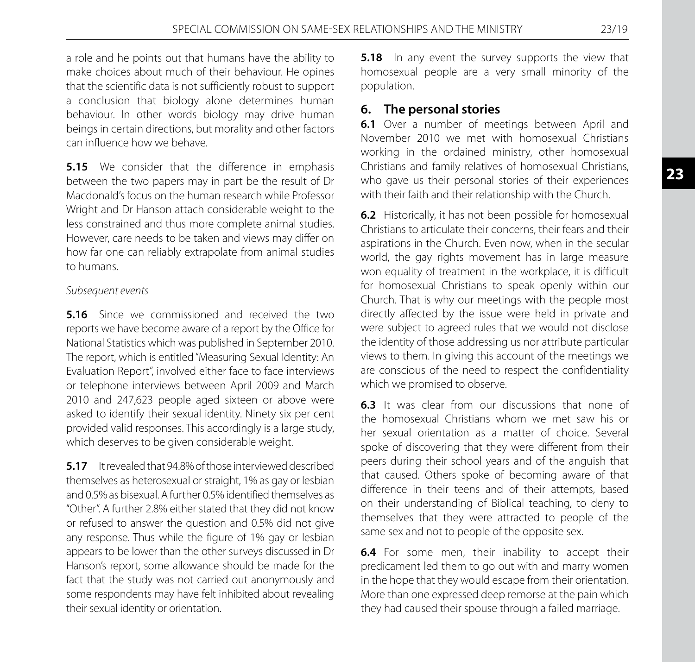a role and he points out that humans have the ability to make choices about much of their behaviour. He opines that the scientific data is not sufficiently robust to support a conclusion that biology alone determines human behaviour. In other words biology may drive human beings in certain directions, but morality and other factors can influence how we behave.

**5.15** We consider that the difference in emphasis between the two papers may in part be the result of Dr Macdonald's focus on the human research while Professor Wright and Dr Hanson attach considerable weight to the less constrained and thus more complete animal studies. However, care needs to be taken and views may differ on how far one can reliably extrapolate from animal studies to humans.

#### *Subsequent events*

**5.16** Since we commissioned and received the two reports we have become aware of a report by the Office for National Statistics which was published in September 2010. The report, which is entitled "Measuring Sexual Identity: An Evaluation Report", involved either face to face interviews or telephone interviews between April 2009 and March 2010 and 247,623 people aged sixteen or above were asked to identify their sexual identity. Ninety six per cent provided valid responses. This accordingly is a large study, which deserves to be given considerable weight.

**5.17** It revealed that 94.8% of those interviewed described themselves as heterosexual or straight, 1% as gay or lesbian and 0.5% as bisexual. A further 0.5% identified themselves as "Other". A further 2.8% either stated that they did not know or refused to answer the question and 0.5% did not give any response. Thus while the figure of 1% gay or lesbian appears to be lower than the other surveys discussed in Dr Hanson's report, some allowance should be made for the fact that the study was not carried out anonymously and some respondents may have felt inhibited about revealing their sexual identity or orientation.

**5.18** In any event the survey supports the view that homosexual people are a very small minority of the population.

# **6. The personal stories**

**6.1** Over a number of meetings between April and November 2010 we met with homosexual Christians working in the ordained ministry, other homosexual Christians and family relatives of homosexual Christians, who gave us their personal stories of their experiences with their faith and their relationship with the Church.

**6.2** Historically, it has not been possible for homosexual Christians to articulate their concerns, their fears and their aspirations in the Church. Even now, when in the secular world, the gay rights movement has in large measure won equality of treatment in the workplace, it is difficult for homosexual Christians to speak openly within our Church. That is why our meetings with the people most directly affected by the issue were held in private and were subject to agreed rules that we would not disclose the identity of those addressing us nor attribute particular views to them. In giving this account of the meetings we are conscious of the need to respect the confidentiality which we promised to observe.

**6.3** It was clear from our discussions that none of the homosexual Christians whom we met saw his or her sexual orientation as a matter of choice. Several spoke of discovering that they were different from their peers during their school years and of the anguish that that caused. Others spoke of becoming aware of that difference in their teens and of their attempts, based on their understanding of Biblical teaching, to deny to themselves that they were attracted to people of the same sex and not to people of the opposite sex.

**6.4** For some men, their inability to accept their predicament led them to go out with and marry women in the hope that they would escape from their orientation. More than one expressed deep remorse at the pain which they had caused their spouse through a failed marriage.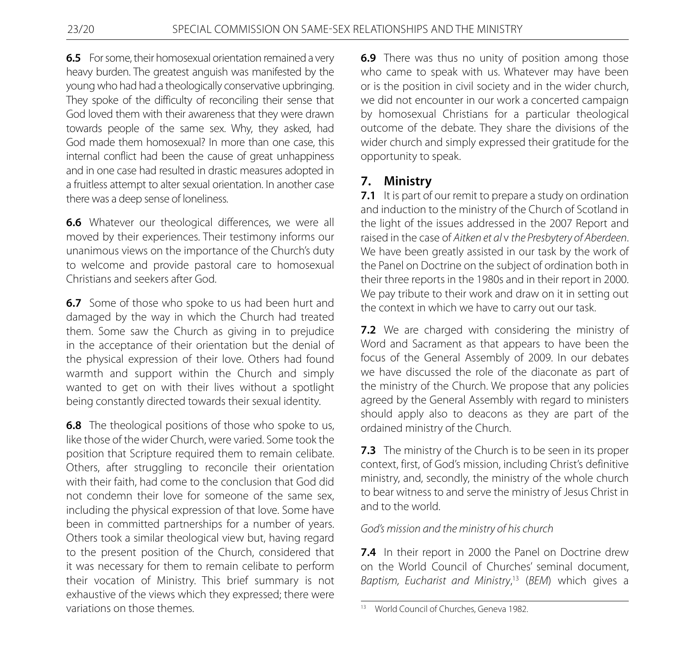**6.5** For some, their homosexual orientation remained a very heavy burden. The greatest anguish was manifested by the young who had had a theologically conservative upbringing. They spoke of the difficulty of reconciling their sense that God loved them with their awareness that they were drawn towards people of the same sex. Why, they asked, had God made them homosexual? In more than one case, this internal conflict had been the cause of great unhappiness and in one case had resulted in drastic measures adopted in a fruitless attempt to alter sexual orientation. In another case there was a deep sense of loneliness.

**6.6** Whatever our theological differences, we were all moved by their experiences. Their testimony informs our unanimous views on the importance of the Church's duty to welcome and provide pastoral care to homosexual Christians and seekers after God.

**6.7** Some of those who spoke to us had been hurt and damaged by the way in which the Church had treated them. Some saw the Church as giving in to prejudice in the acceptance of their orientation but the denial of the physical expression of their love. Others had found warmth and support within the Church and simply wanted to get on with their lives without a spotlight being constantly directed towards their sexual identity.

**6.8** The theological positions of those who spoke to us, like those of the wider Church, were varied. Some took the position that Scripture required them to remain celibate. Others, after struggling to reconcile their orientation with their faith, had come to the conclusion that God did not condemn their love for someone of the same sex, including the physical expression of that love. Some have been in committed partnerships for a number of years. Others took a similar theological view but, having regard to the present position of the Church, considered that it was necessary for them to remain celibate to perform their vocation of Ministry. This brief summary is not exhaustive of the views which they expressed; there were variations on those themes.

**6.9** There was thus no unity of position among those who came to speak with us. Whatever may have been or is the position in civil society and in the wider church, we did not encounter in our work a concerted campaign by homosexual Christians for a particular theological outcome of the debate. They share the divisions of the wider church and simply expressed their gratitude for the opportunity to speak.

# **7. Ministry**

**7.1** It is part of our remit to prepare a study on ordination and induction to the ministry of the Church of Scotland in the light of the issues addressed in the 2007 Report and raised in the case of *Aitken et al* v *the Presbytery of Aberdeen*. We have been greatly assisted in our task by the work of the Panel on Doctrine on the subject of ordination both in their three reports in the 1980s and in their report in 2000. We pay tribute to their work and draw on it in setting out the context in which we have to carry out our task.

**7.2** We are charged with considering the ministry of Word and Sacrament as that appears to have been the focus of the General Assembly of 2009. In our debates we have discussed the role of the diaconate as part of the ministry of the Church. We propose that any policies agreed by the General Assembly with regard to ministers should apply also to deacons as they are part of the ordained ministry of the Church.

**7.3** The ministry of the Church is to be seen in its proper context, first, of God's mission, including Christ's definitive ministry, and, secondly, the ministry of the whole church to bear witness to and serve the ministry of Jesus Christ in and to the world.

# *God's mission and the ministry of his church*

**7.4** In their report in 2000 the Panel on Doctrine drew on the World Council of Churches' seminal document, *Baptism, Eucharist and Ministry*, 13 (*BEM*) which gives a

<sup>&</sup>lt;sup>13</sup> World Council of Churches, Geneva 1982.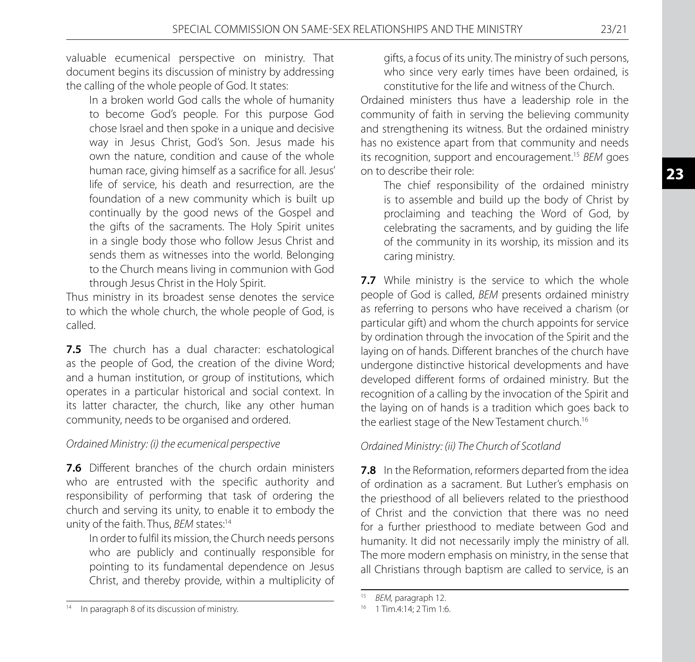valuable ecumenical perspective on ministry. That document begins its discussion of ministry by addressing the calling of the whole people of God. It states:

 In a broken world God calls the whole of humanity to become God's people. For this purpose God chose Israel and then spoke in a unique and decisive way in Jesus Christ, God's Son. Jesus made his own the nature, condition and cause of the whole human race, giving himself as a sacrifice for all. Jesus' life of service, his death and resurrection, are the foundation of a new community which is built up continually by the good news of the Gospel and the gifts of the sacraments. The Holy Spirit unites in a single body those who follow Jesus Christ and sends them as witnesses into the world. Belonging to the Church means living in communion with God through Jesus Christ in the Holy Spirit.

Thus ministry in its broadest sense denotes the service to which the whole church, the whole people of God, is called.

**7.5** The church has a dual character: eschatological as the people of God, the creation of the divine Word; and a human institution, or group of institutions, which operates in a particular historical and social context. In its latter character, the church, like any other human community, needs to be organised and ordered.

# *Ordained Ministry: (i) the ecumenical perspective*

**7.6** Different branches of the church ordain ministers who are entrusted with the specific authority and responsibility of performing that task of ordering the church and serving its unity, to enable it to embody the unity of the faith. Thus, *BEM* states:<sup>14</sup>

 In order to fulfil its mission, the Church needs persons who are publicly and continually responsible for pointing to its fundamental dependence on Jesus Christ, and thereby provide, within a multiplicity of

gifts, a focus of its unity. The ministry of such persons, who since very early times have been ordained, is constitutive for the life and witness of the Church.

Ordained ministers thus have a leadership role in the community of faith in serving the believing community and strengthening its witness. But the ordained ministry has no existence apart from that community and needs its recognition, support and encouragement.15 *BEM* goes on to describe their role:

 The chief responsibility of the ordained ministry is to assemble and build up the body of Christ by proclaiming and teaching the Word of God, by celebrating the sacraments, and by guiding the life of the community in its worship, its mission and its caring ministry.

**7.7** While ministry is the service to which the whole people of God is called, *BEM* presents ordained ministry as referring to persons who have received a charism (or particular gift) and whom the church appoints for service by ordination through the invocation of the Spirit and the laying on of hands. Different branches of the church have undergone distinctive historical developments and have developed different forms of ordained ministry. But the recognition of a calling by the invocation of the Spirit and the laying on of hands is a tradition which goes back to the earliest stage of the New Testament church.<sup>16</sup>

# *Ordained Ministry: (ii) The Church of Scotland*

**7.8** In the Reformation, reformers departed from the idea of ordination as a sacrament. But Luther's emphasis on the priesthood of all believers related to the priesthood of Christ and the conviction that there was no need for a further priesthood to mediate between God and humanity. It did not necessarily imply the ministry of all. The more modern emphasis on ministry, in the sense that all Christians through baptism are called to service, is an

<sup>&</sup>lt;sup>14</sup> In paragraph 8 of its discussion of ministry.

<sup>15</sup> *BEM,* paragraph 12.

<sup>&</sup>lt;sup>16</sup> 1 Tim.4:14: 2 Tim 1:6.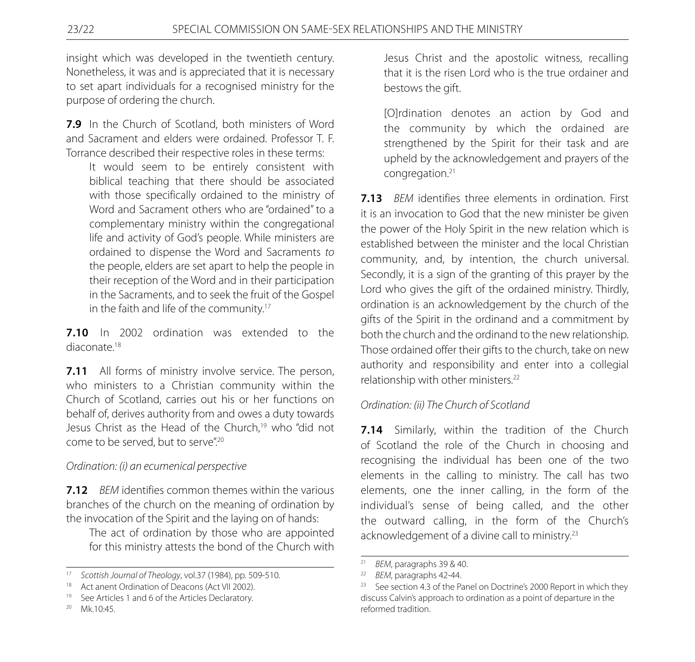insight which was developed in the twentieth century. Nonetheless, it was and is appreciated that it is necessary to set apart individuals for a recognised ministry for the purpose of ordering the church.

**7.9** In the Church of Scotland, both ministers of Word and Sacrament and elders were ordained. Professor T. F. Torrance described their respective roles in these terms:

 It would seem to be entirely consistent with biblical teaching that there should be associated with those specifically ordained to the ministry of Word and Sacrament others who are "ordained" to a complementary ministry within the congregational life and activity of God's people. While ministers are ordained to dispense the Word and Sacraments *to* the people, elders are set apart to help the people in their reception of the Word and in their participation in the Sacraments, and to seek the fruit of the Gospel in the faith and life of the community.<sup>17</sup>

**7.10** In 2002 ordination was extended to the diaconate<sup>18</sup>

**7.11** All forms of ministry involve service. The person, who ministers to a Christian community within the Church of Scotland, carries out his or her functions on behalf of, derives authority from and owes a duty towards Jesus Christ as the Head of the Church,<sup>19</sup> who "did not come to be served, but to serve".20

# *Ordination: (i) an ecumenical perspective*

**7.12** *BEM* identifies common themes within the various branches of the church on the meaning of ordination by the invocation of the Spirit and the laying on of hands:

 The act of ordination by those who are appointed for this ministry attests the bond of the Church with Jesus Christ and the apostolic witness, recalling that it is the risen Lord who is the true ordainer and bestows the gift.

 [O]rdination denotes an action by God and the community by which the ordained are strengthened by the Spirit for their task and are upheld by the acknowledgement and prayers of the congregation.21

**7.13** *BEM* identifies three elements in ordination. First it is an invocation to God that the new minister be given the power of the Holy Spirit in the new relation which is established between the minister and the local Christian community, and, by intention, the church universal. Secondly, it is a sign of the granting of this prayer by the Lord who gives the gift of the ordained ministry. Thirdly, ordination is an acknowledgement by the church of the gifts of the Spirit in the ordinand and a commitment by both the church and the ordinand to the new relationship. Those ordained offer their gifts to the church, take on new authority and responsibility and enter into a collegial relationship with other ministers.22

# *Ordination: (ii) The Church of Scotland*

**7.14** Similarly, within the tradition of the Church of Scotland the role of the Church in choosing and recognising the individual has been one of the two elements in the calling to ministry. The call has two elements, one the inner calling, in the form of the individual's sense of being called, and the other the outward calling, in the form of the Church's acknowledgement of a divine call to ministry.<sup>23</sup>

<sup>17</sup> *Scottish Journal of Theology*, vol.37 (1984), pp. 509-510.

<sup>&</sup>lt;sup>18</sup> Act anent Ordination of Deacons (Act VII 2002).

<sup>&</sup>lt;sup>19</sup> See Articles 1 and 6 of the Articles Declaratory.

 $20$  Mk.10:45.

<sup>&</sup>lt;sup>21</sup> *BEM*, paragraphs 39 & 40.

<sup>22</sup> *BEM*, paragraphs 42-44.

<sup>&</sup>lt;sup>23</sup> See section 4.3 of the Panel on Doctrine's 2000 Report in which they discuss Calvin's approach to ordination as a point of departure in the reformed tradition.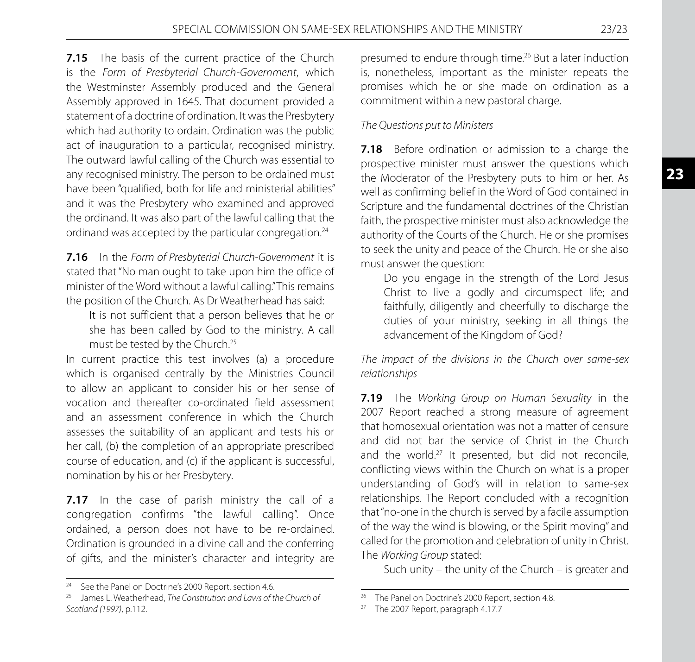**7.15** The basis of the current practice of the Church is the *Form of Presbyterial Church-Government*, which the Westminster Assembly produced and the General Assembly approved in 1645. That document provided a statement of a doctrine of ordination. It was the Presbytery which had authority to ordain. Ordination was the public act of inauguration to a particular, recognised ministry. The outward lawful calling of the Church was essential to any recognised ministry. The person to be ordained must have been "qualified, both for life and ministerial abilities" and it was the Presbytery who examined and approved the ordinand. It was also part of the lawful calling that the ordinand was accepted by the particular congregation.<sup>24</sup>

**7.16** In the *Form of Presbyterial Church-Government* it is stated that "No man ought to take upon him the office of minister of the Word without a lawful calling." This remains the position of the Church. As Dr Weatherhead has said:

 It is not sufficient that a person believes that he or she has been called by God to the ministry. A call must be tested by the Church.25

In current practice this test involves (a) a procedure which is organised centrally by the Ministries Council to allow an applicant to consider his or her sense of vocation and thereafter co-ordinated field assessment and an assessment conference in which the Church assesses the suitability of an applicant and tests his or her call, (b) the completion of an appropriate prescribed course of education, and (c) if the applicant is successful, nomination by his or her Presbytery.

**7.17** In the case of parish ministry the call of a congregation confirms "the lawful calling". Once ordained, a person does not have to be re-ordained. Ordination is grounded in a divine call and the conferring of gifts, and the minister's character and integrity are presumed to endure through time.26 But a later induction is, nonetheless, important as the minister repeats the promises which he or she made on ordination as a commitment within a new pastoral charge.

#### *The Questions put to Ministers*

**7.18** Before ordination or admission to a charge the prospective minister must answer the questions which the Moderator of the Presbytery puts to him or her. As well as confirming belief in the Word of God contained in Scripture and the fundamental doctrines of the Christian faith, the prospective minister must also acknowledge the authority of the Courts of the Church. He or she promises to seek the unity and peace of the Church. He or she also must answer the question:

 Do you engage in the strength of the Lord Jesus Christ to live a godly and circumspect life; and faithfully, diligently and cheerfully to discharge the duties of your ministry, seeking in all things the advancement of the Kingdom of God?

*The impact of the divisions in the Church over same-sex relationships*

**7.19** The *Working Group on Human Sexuality* in the 2007 Report reached a strong measure of agreement that homosexual orientation was not a matter of censure and did not bar the service of Christ in the Church and the world.<sup>27</sup> It presented, but did not reconcile, conflicting views within the Church on what is a proper understanding of God's will in relation to same-sex relationships. The Report concluded with a recognition that "no-one in the church is served by a facile assumption of the way the wind is blowing, or the Spirit moving" and called for the promotion and celebration of unity in Christ. The *Working Group* stated:

Such unity – the unity of the Church – is greater and

See the Panel on Doctrine's 2000 Report, section 4.6.

<sup>25</sup> James L. Weatherhead, *The Constitution and Laws of the Church of Scotland (1997)*, p.112.

<sup>&</sup>lt;sup>26</sup> The Panel on Doctrine's 2000 Report, section 4.8.<br><sup>27</sup> The 2007 Report, paragraph 4.17.7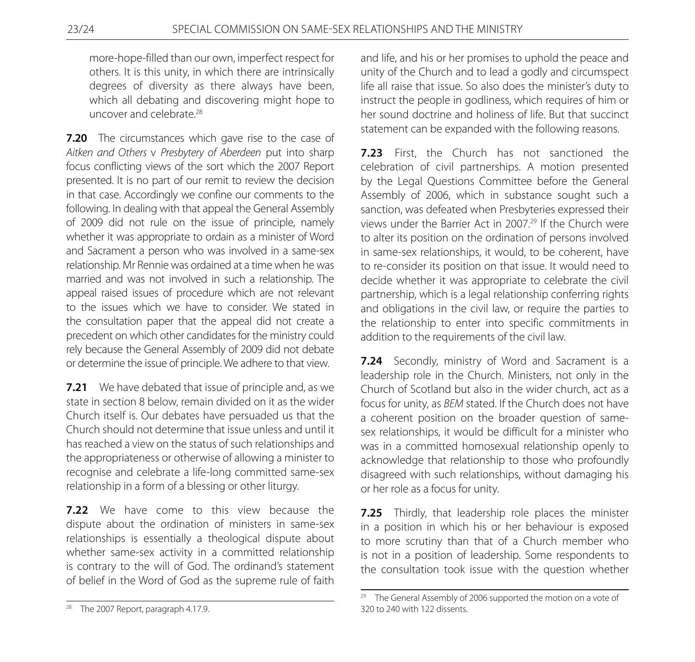more-hope-filled than our own, imperfect respect for others. It is this unity, in which there are intrinsically degrees of diversity as there always have been, which all debating and discovering might hope to uncover and celebrate.<sup>28</sup>

**7.20** The circumstances which gave rise to the case of *Aitken and Others* v *Presbytery of Aberdeen* put into sharp focus conflicting views of the sort which the 2007 Report presented. It is no part of our remit to review the decision in that case. Accordingly we confine our comments to the following. In dealing with that appeal the General Assembly of 2009 did not rule on the issue of principle, namely whether it was appropriate to ordain as a minister of Word and Sacrament a person who was involved in a same-sex relationship. Mr Rennie was ordained at a time when he was married and was not involved in such a relationship. The appeal raised issues of procedure which are not relevant to the issues which we have to consider. We stated in the consultation paper that the appeal did not create a precedent on which other candidates for the ministry could rely because the General Assembly of 2009 did not debate or determine the issue of principle. We adhere to that view.

**7.21** We have debated that issue of principle and, as we state in section 8 below, remain divided on it as the wider Church itself is. Our debates have persuaded us that the Church should not determine that issue unless and until it has reached a view on the status of such relationships and the appropriateness or otherwise of allowing a minister to recognise and celebrate a life-long committed same-sex relationship in a form of a blessing or other liturgy.

**7.22** We have come to this view because the dispute about the ordination of ministers in same-sex relationships is essentially a theological dispute about whether same-sex activity in a committed relationship is contrary to the will of God. The ordinand's statement of belief in the Word of God as the supreme rule of faith

and life, and his or her promises to uphold the peace and unity of the Church and to lead a godly and circumspect life all raise that issue. So also does the minister's duty to instruct the people in godliness, which requires of him or her sound doctrine and holiness of life. But that succinct statement can be expanded with the following reasons.

**7.23** First, the Church has not sanctioned the celebration of civil partnerships. A motion presented by the Legal Questions Committee before the General Assembly of 2006, which in substance sought such a sanction, was defeated when Presbyteries expressed their views under the Barrier Act in 2007.29 If the Church were to alter its position on the ordination of persons involved in same-sex relationships, it would, to be coherent, have to re-consider its position on that issue. It would need to decide whether it was appropriate to celebrate the civil partnership, which is a legal relationship conferring rights and obligations in the civil law, or require the parties to the relationship to enter into specific commitments in addition to the requirements of the civil law.

**7.24** Secondly, ministry of Word and Sacrament is a leadership role in the Church. Ministers, not only in the Church of Scotland but also in the wider church, act as a focus for unity, as *BEM* stated. If the Church does not have a coherent position on the broader question of samesex relationships, it would be difficult for a minister who was in a committed homosexual relationship openly to acknowledge that relationship to those who profoundly disagreed with such relationships, without damaging his or her role as a focus for unity.

**7.25** Thirdly, that leadership role places the minister in a position in which his or her behaviour is exposed to more scrutiny than that of a Church member who is not in a position of leadership. Some respondents to the consultation took issue with the question whether

<sup>&</sup>lt;sup>28</sup> The 2007 Report, paragraph 4.17.9.

 $29$  The General Assembly of 2006 supported the motion on a vote of 320 to 240 with 122 dissents.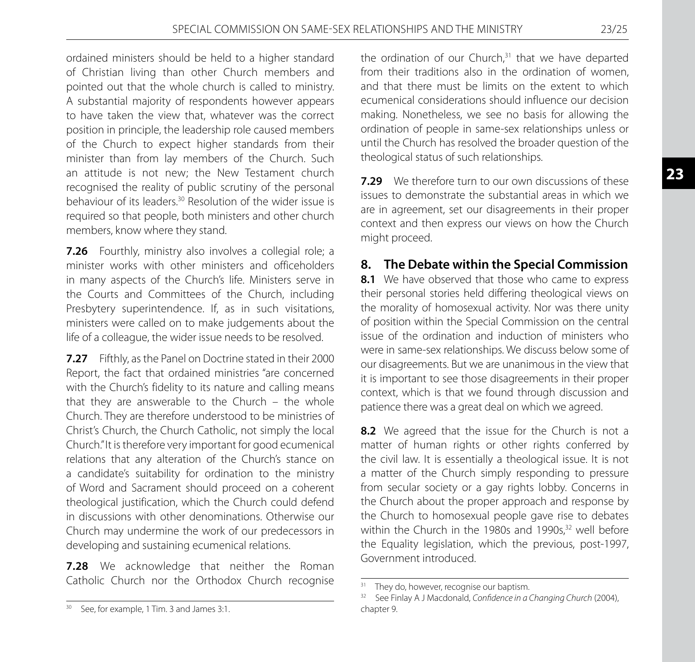ordained ministers should be held to a higher standard of Christian living than other Church members and pointed out that the whole church is called to ministry. A substantial majority of respondents however appears to have taken the view that, whatever was the correct position in principle, the leadership role caused members of the Church to expect higher standards from their minister than from lay members of the Church. Such an attitude is not new; the New Testament church recognised the reality of public scrutiny of the personal behaviour of its leaders.30 Resolution of the wider issue is required so that people, both ministers and other church members, know where they stand.

**7.26** Fourthly, ministry also involves a collegial role; a minister works with other ministers and officeholders in many aspects of the Church's life. Ministers serve in the Courts and Committees of the Church, including Presbytery superintendence. If, as in such visitations, ministers were called on to make judgements about the life of a colleague, the wider issue needs to be resolved.

**7.27** Fifthly, as the Panel on Doctrine stated in their 2000 Report, the fact that ordained ministries "are concerned with the Church's fidelity to its nature and calling means that they are answerable to the Church – the whole Church. They are therefore understood to be ministries of Christ's Church, the Church Catholic, not simply the local Church." It is therefore very important for good ecumenical relations that any alteration of the Church's stance on a candidate's suitability for ordination to the ministry of Word and Sacrament should proceed on a coherent theological justification, which the Church could defend in discussions with other denominations. Otherwise our Church may undermine the work of our predecessors in developing and sustaining ecumenical relations.

**7.28** We acknowledge that neither the Roman Catholic Church nor the Orthodox Church recognise

the ordination of our Church, $31$  that we have departed from their traditions also in the ordination of women, and that there must be limits on the extent to which ecumenical considerations should influence our decision making. Nonetheless, we see no basis for allowing the ordination of people in same-sex relationships unless or until the Church has resolved the broader question of the theological status of such relationships.

**7.29** We therefore turn to our own discussions of these issues to demonstrate the substantial areas in which we are in agreement, set our disagreements in their proper context and then express our views on how the Church might proceed.

# **8. The Debate within the Special Commission**

**8.1** We have observed that those who came to express their personal stories held differing theological views on the morality of homosexual activity. Nor was there unity of position within the Special Commission on the central issue of the ordination and induction of ministers who were in same-sex relationships. We discuss below some of our disagreements. But we are unanimous in the view that it is important to see those disagreements in their proper context, which is that we found through discussion and patience there was a great deal on which we agreed.

**8.2** We agreed that the issue for the Church is not a matter of human rights or other rights conferred by the civil law. It is essentially a theological issue. It is not a matter of the Church simply responding to pressure from secular society or a gay rights lobby. Concerns in the Church about the proper approach and response by the Church to homosexual people gave rise to debates within the Church in the 1980s and 1990s,<sup>32</sup> well before the Equality legislation, which the previous, post-1997, Government introduced.

<sup>&</sup>lt;sup>30</sup> See, for example, 1 Tim. 3 and James 3:1.

<sup>&</sup>lt;sup>31</sup> They do, however, recognise our baptism.<br><sup>32</sup> See Finlay A J Macdonald *Confidence in a* 

<sup>32</sup> See Finlay A J Macdonald, *Confidence in a Changing Church* (2004), chapter 9.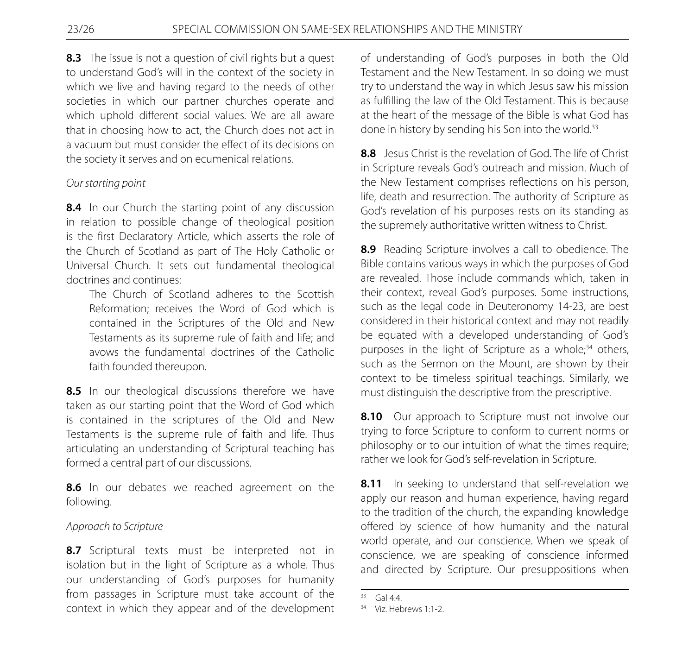**8.3** The issue is not a question of civil rights but a quest to understand God's will in the context of the society in which we live and having regard to the needs of other societies in which our partner churches operate and which uphold different social values. We are all aware that in choosing how to act, the Church does not act in a vacuum but must consider the effect of its decisions on the society it serves and on ecumenical relations.

# *Our starting point*

**8.4** In our Church the starting point of any discussion in relation to possible change of theological position is the first Declaratory Article, which asserts the role of the Church of Scotland as part of The Holy Catholic or Universal Church. It sets out fundamental theological doctrines and continues:

 The Church of Scotland adheres to the Scottish Reformation; receives the Word of God which is contained in the Scriptures of the Old and New Testaments as its supreme rule of faith and life; and avows the fundamental doctrines of the Catholic faith founded thereupon.

8.5 In our theological discussions therefore we have taken as our starting point that the Word of God which is contained in the scriptures of the Old and New Testaments is the supreme rule of faith and life. Thus articulating an understanding of Scriptural teaching has formed a central part of our discussions.

8.6 In our debates we reached agreement on the following.

# *Approach to Scripture*

8.7 Scriptural texts must be interpreted not in isolation but in the light of Scripture as a whole. Thus our understanding of God's purposes for humanity from passages in Scripture must take account of the context in which they appear and of the development of understanding of God's purposes in both the Old Testament and the New Testament. In so doing we must try to understand the way in which Jesus saw his mission as fulfilling the law of the Old Testament. This is because at the heart of the message of the Bible is what God has done in history by sending his Son into the world.<sup>33</sup>

**8.8** Jesus Christ is the revelation of God. The life of Christ in Scripture reveals God's outreach and mission. Much of the New Testament comprises reflections on his person, life, death and resurrection. The authority of Scripture as God's revelation of his purposes rests on its standing as the supremely authoritative written witness to Christ.

**8.9** Reading Scripture involves a call to obedience. The Bible contains various ways in which the purposes of God are revealed. Those include commands which, taken in their context, reveal God's purposes. Some instructions, such as the legal code in Deuteronomy 14-23, are best considered in their historical context and may not readily be equated with a developed understanding of God's purposes in the light of Scripture as a whole; $34$  others, such as the Sermon on the Mount, are shown by their context to be timeless spiritual teachings. Similarly, we must distinguish the descriptive from the prescriptive.

**8.10** Our approach to Scripture must not involve our trying to force Scripture to conform to current norms or philosophy or to our intuition of what the times require; rather we look for God's self-revelation in Scripture.

**8.11** In seeking to understand that self-revelation we apply our reason and human experience, having regard to the tradition of the church, the expanding knowledge offered by science of how humanity and the natural world operate, and our conscience. When we speak of conscience, we are speaking of conscience informed and directed by Scripture. Our presuppositions when

 $33 \text{ Gal } 4.4$ 

<sup>34</sup> Viz. Hebrews 1:1-2.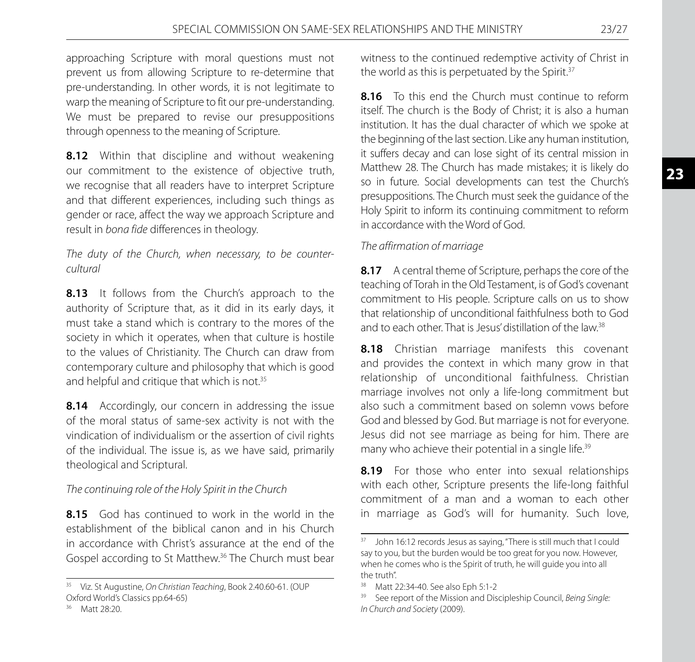approaching Scripture with moral questions must not prevent us from allowing Scripture to re-determine that pre-understanding. In other words, it is not legitimate to warp the meaning of Scripture to fit our pre-understanding. We must be prepared to revise our presuppositions through openness to the meaning of Scripture.

**8.12** Within that discipline and without weakening our commitment to the existence of objective truth, we recognise that all readers have to interpret Scripture and that different experiences, including such things as gender or race, affect the way we approach Scripture and result in *bona fide* differences in theology.

*The duty of the Church, when necessary, to be countercultural*

8.13 It follows from the Church's approach to the authority of Scripture that, as it did in its early days, it must take a stand which is contrary to the mores of the society in which it operates, when that culture is hostile to the values of Christianity. The Church can draw from contemporary culture and philosophy that which is good and helpful and critique that which is not.<sup>35</sup>

**8.14** Accordingly, our concern in addressing the issue of the moral status of same-sex activity is not with the vindication of individualism or the assertion of civil rights of the individual. The issue is, as we have said, primarily theological and Scriptural.

# *The continuing role of the Holy Spirit in the Church*

**8.15** God has continued to work in the world in the establishment of the biblical canon and in his Church in accordance with Christ's assurance at the end of the Gospel according to St Matthew.36 The Church must bear

witness to the continued redemptive activity of Christ in the world as this is perpetuated by the Spirit.<sup>37</sup>

**8.16** To this end the Church must continue to reform itself. The church is the Body of Christ; it is also a human institution. It has the dual character of which we spoke at the beginning of the last section. Like any human institution, it suffers decay and can lose sight of its central mission in Matthew 28. The Church has made mistakes; it is likely do so in future. Social developments can test the Church's presuppositions. The Church must seek the guidance of the Holy Spirit to inform its continuing commitment to reform in accordance with the Word of God.

### *The affirmation of marriage*

**8.17** A central theme of Scripture, perhaps the core of the teaching of Torah in the Old Testament, is of God's covenant commitment to His people. Scripture calls on us to show that relationship of unconditional faithfulness both to God and to each other. That is Jesus' distillation of the law.<sup>38</sup>

**8.18** Christian marriage manifests this covenant and provides the context in which many grow in that relationship of unconditional faithfulness. Christian marriage involves not only a life-long commitment but also such a commitment based on solemn vows before God and blessed by God. But marriage is not for everyone. Jesus did not see marriage as being for him. There are many who achieve their potential in a single life.<sup>39</sup>

8.19 For those who enter into sexual relationships with each other, Scripture presents the life-long faithful commitment of a man and a woman to each other in marriage as God's will for humanity. Such love,

<sup>35</sup> Viz. St Augustine, *On Christian Teaching*, Book 2.40.60-61. (OUP Oxford World's Classics pp.64-65)

<sup>36</sup> Matt 28:20.

<sup>&</sup>lt;sup>37</sup> John 16:12 records Jesus as saying, "There is still much that I could say to you, but the burden would be too great for you now. However, when he comes who is the Spirit of truth, he will guide you into all the truth".

<sup>38</sup> Matt 22:34-40. See also Eph 5:1-2

<sup>39</sup> See report of the Mission and Discipleship Council, *Being Single: In Church and Society* (2009).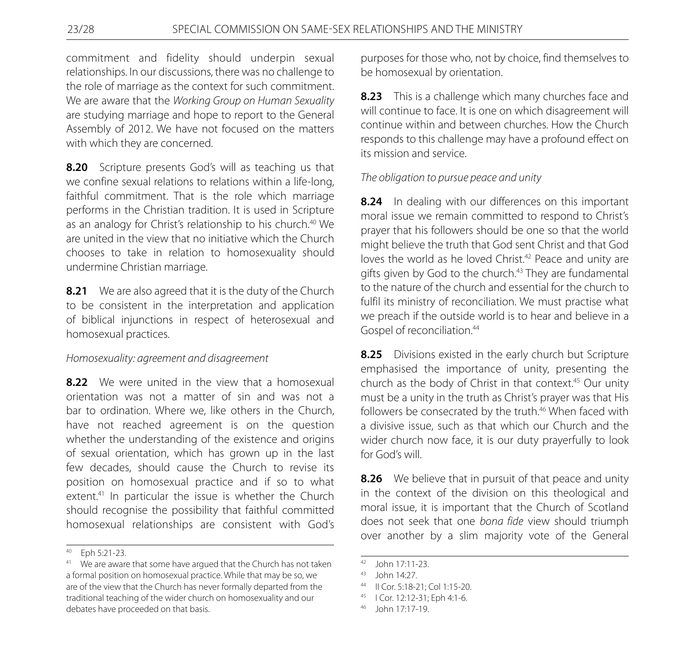commitment and fidelity should underpin sexual relationships. In our discussions, there was no challenge to the role of marriage as the context for such commitment. We are aware that the *Working Group on Human Sexuality* are studying marriage and hope to report to the General Assembly of 2012. We have not focused on the matters with which they are concerned.

**8.20** Scripture presents God's will as teaching us that we confine sexual relations to relations within a life-long, faithful commitment. That is the role which marriage performs in the Christian tradition. It is used in Scripture as an analogy for Christ's relationship to his church.<sup>40</sup> We are united in the view that no initiative which the Church chooses to take in relation to homosexuality should undermine Christian marriage.

**8.21** We are also agreed that it is the duty of the Church to be consistent in the interpretation and application of biblical injunctions in respect of heterosexual and homosexual practices.

#### *Homosexuality: agreement and disagreement*

**8.22** We were united in the view that a homosexual orientation was not a matter of sin and was not a bar to ordination. Where we, like others in the Church, have not reached agreement is on the question whether the understanding of the existence and origins of sexual orientation, which has grown up in the last few decades, should cause the Church to revise its position on homosexual practice and if so to what extent.<sup>41</sup> In particular the issue is whether the Church should recognise the possibility that faithful committed homosexual relationships are consistent with God's

purposes for those who, not by choice, find themselves to be homosexual by orientation.

**8.23** This is a challenge which many churches face and will continue to face. It is one on which disagreement will continue within and between churches. How the Church responds to this challenge may have a profound effect on its mission and service.

# *The obligation to pursue peace and unity*

**8.24** In dealing with our differences on this important moral issue we remain committed to respond to Christ's prayer that his followers should be one so that the world might believe the truth that God sent Christ and that God loves the world as he loved Christ.<sup>42</sup> Peace and unity are gifts given by God to the church.<sup>43</sup> They are fundamental to the nature of the church and essential for the church to fulfil its ministry of reconciliation. We must practise what we preach if the outside world is to hear and believe in a Gospel of reconciliation.<sup>44</sup>

**8.25** Divisions existed in the early church but Scripture emphasised the importance of unity, presenting the church as the body of Christ in that context.<sup>45</sup> Our unity must be a unity in the truth as Christ's prayer was that His followers be consecrated by the truth.<sup>46</sup> When faced with a divisive issue, such as that which our Church and the wider church now face, it is our duty prayerfully to look for God's will.

**8.26** We believe that in pursuit of that peace and unity in the context of the division on this theological and moral issue, it is important that the Church of Scotland does not seek that one *bona fide* view should triumph over another by a slim majority vote of the General

<sup>40</sup> Eph 5:21-23.

<sup>&</sup>lt;sup>41</sup> We are aware that some have argued that the Church has not taken a formal position on homosexual practice. While that may be so, we are of the view that the Church has never formally departed from the traditional teaching of the wider church on homosexuality and our debates have proceeded on that basis.

<sup>42</sup> John 17:11-23.

<sup>43</sup> John 14:27.

<sup>44</sup> II Cor. 5:18-21; Col 1:15-20.

<sup>45</sup> I Cor. 12:12-31; Eph 4:1-6.

<sup>46</sup> John 17:17-19.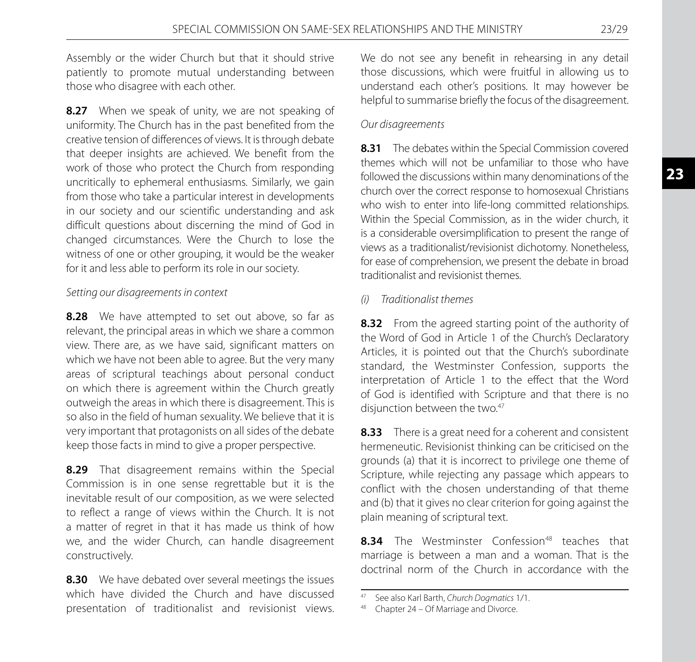**23**

Assembly or the wider Church but that it should strive patiently to promote mutual understanding between those who disagree with each other.

**8.27** When we speak of unity, we are not speaking of uniformity. The Church has in the past benefited from the creative tension of differences of views. It is through debate that deeper insights are achieved. We benefit from the work of those who protect the Church from responding uncritically to ephemeral enthusiasms. Similarly, we gain from those who take a particular interest in developments in our society and our scientific understanding and ask difficult questions about discerning the mind of God in changed circumstances. Were the Church to lose the witness of one or other grouping, it would be the weaker for it and less able to perform its role in our society.

### *Setting our disagreements in context*

**8.28** We have attempted to set out above, so far as relevant, the principal areas in which we share a common view. There are, as we have said, significant matters on which we have not been able to agree. But the very many areas of scriptural teachings about personal conduct on which there is agreement within the Church greatly outweigh the areas in which there is disagreement. This is so also in the field of human sexuality. We believe that it is very important that protagonists on all sides of the debate keep those facts in mind to give a proper perspective.

**8.29** That disagreement remains within the Special Commission is in one sense regrettable but it is the inevitable result of our composition, as we were selected to reflect a range of views within the Church. It is not a matter of regret in that it has made us think of how we, and the wider Church, can handle disagreement constructively.

**8.30** We have debated over several meetings the issues which have divided the Church and have discussed presentation of traditionalist and revisionist views. We do not see any benefit in rehearsing in any detail those discussions, which were fruitful in allowing us to understand each other's positions. It may however be helpful to summarise briefly the focus of the disagreement.

#### *Our disagreements*

**8.31** The debates within the Special Commission covered themes which will not be unfamiliar to those who have followed the discussions within many denominations of the church over the correct response to homosexual Christians who wish to enter into life-long committed relationships. Within the Special Commission, as in the wider church, it is a considerable oversimplification to present the range of views as a traditionalist/revisionist dichotomy. Nonetheless, for ease of comprehension, we present the debate in broad traditionalist and revisionist themes.

### *(i) Traditionalist themes*

**8.32** From the agreed starting point of the authority of the Word of God in Article 1 of the Church's Declaratory Articles, it is pointed out that the Church's subordinate standard, the Westminster Confession, supports the interpretation of Article 1 to the effect that the Word of God is identified with Scripture and that there is no disjunction between the two.<sup>47</sup>

**8.33** There is a great need for a coherent and consistent hermeneutic. Revisionist thinking can be criticised on the grounds (a) that it is incorrect to privilege one theme of Scripture, while rejecting any passage which appears to conflict with the chosen understanding of that theme and (b) that it gives no clear criterion for going against the plain meaning of scriptural text.

8.34 The Westminster Confession<sup>48</sup> teaches that marriage is between a man and a woman. That is the doctrinal norm of the Church in accordance with the

<sup>47</sup> See also Karl Barth, *Church Dogmatics* 1/1.

<sup>48</sup> Chapter 24 – Of Marriage and Divorce.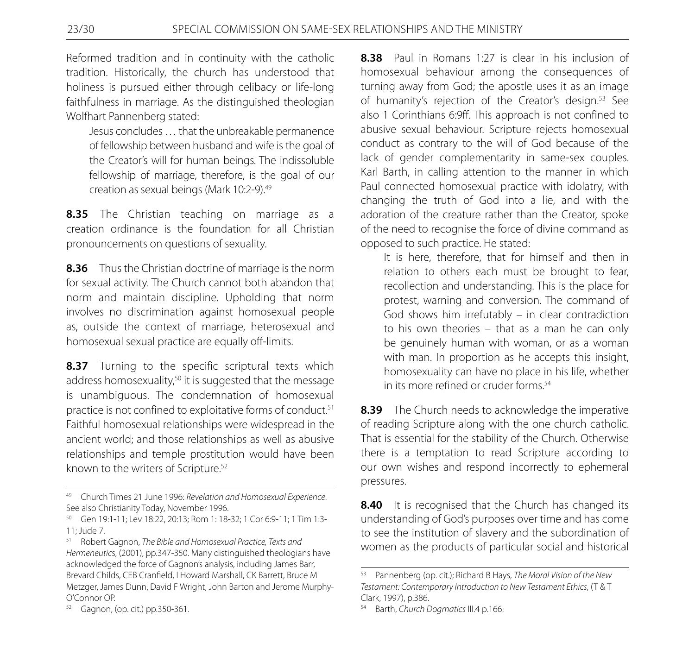Reformed tradition and in continuity with the catholic tradition. Historically, the church has understood that holiness is pursued either through celibacy or life-long faithfulness in marriage. As the distinguished theologian Wolfhart Pannenberg stated:

 Jesus concludes … that the unbreakable permanence of fellowship between husband and wife is the goal of the Creator's will for human beings. The indissoluble fellowship of marriage, therefore, is the goal of our creation as sexual beings (Mark 10:2-9).<sup>49</sup>

**8.35** The Christian teaching on marriage as a creation ordinance is the foundation for all Christian pronouncements on questions of sexuality.

**8.36** Thus the Christian doctrine of marriage is the norm for sexual activity. The Church cannot both abandon that norm and maintain discipline. Upholding that norm involves no discrimination against homosexual people as, outside the context of marriage, heterosexual and homosexual sexual practice are equally off-limits.

8.37 Turning to the specific scriptural texts which address homosexuality,<sup>50</sup> it is suggested that the message is unambiguous. The condemnation of homosexual practice is not confined to exploitative forms of conduct.<sup>51</sup> Faithful homosexual relationships were widespread in the ancient world; and those relationships as well as abusive relationships and temple prostitution would have been known to the writers of Scripture.<sup>52</sup>

**8.38** Paul in Romans 1:27 is clear in his inclusion of homosexual behaviour among the consequences of turning away from God; the apostle uses it as an image of humanity's rejection of the Creator's design.<sup>53</sup> See also 1 Corinthians 6:9ff. This approach is not confined to abusive sexual behaviour. Scripture rejects homosexual conduct as contrary to the will of God because of the lack of gender complementarity in same-sex couples. Karl Barth, in calling attention to the manner in which Paul connected homosexual practice with idolatry, with changing the truth of God into a lie, and with the adoration of the creature rather than the Creator, spoke of the need to recognise the force of divine command as opposed to such practice. He stated:

 It is here, therefore, that for himself and then in relation to others each must be brought to fear, recollection and understanding. This is the place for protest, warning and conversion. The command of God shows him irrefutably – in clear contradiction to his own theories – that as a man he can only be genuinely human with woman, or as a woman with man. In proportion as he accepts this insight, homosexuality can have no place in his life, whether in its more refined or cruder forms<sup>54</sup>

**8.39** The Church needs to acknowledge the imperative of reading Scripture along with the one church catholic. That is essential for the stability of the Church. Otherwise there is a temptation to read Scripture according to our own wishes and respond incorrectly to ephemeral pressures.

**8.40** It is recognised that the Church has changed its understanding of God's purposes over time and has come to see the institution of slavery and the subordination of women as the products of particular social and historical

<sup>49</sup> Church Times 21 June 1996: *Revelation and Homosexual Experience*. See also Christianity Today, November 1996.

<sup>50</sup> Gen 19:1-11; Lev 18:22, 20:13; Rom 1: 18-32; 1 Cor 6:9-11; 1 Tim 1:3- 11; Jude 7.

<sup>51</sup> Robert Gagnon, *The Bible and Homosexual Practice, Texts and Hermeneutic*s, (2001), pp.347-350. Many distinguished theologians have acknowledged the force of Gagnon's analysis, including James Barr, Brevard Childs, CEB Cranfield, I Howard Marshall, CK Barrett, Bruce M Metzger, James Dunn, David F Wright, John Barton and Jerome Murphy-O'Connor OP.

<sup>52</sup> Gagnon, (op. cit.) pp.350-361.

<sup>53</sup> Pannenberg (op. cit.); Richard B Hays, *The Moral Vision of the New Testament: Contemporary Introduction to New Testament Ethics*, (T & T Clark, 1997), p.386.

<sup>54</sup> Barth, *Church Dogmatics* III.4 p.166.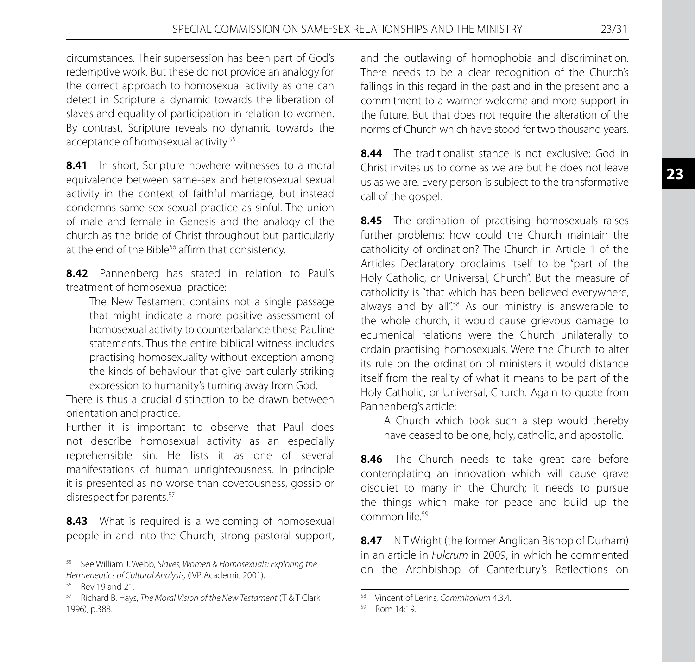circumstances. Their supersession has been part of God's redemptive work. But these do not provide an analogy for the correct approach to homosexual activity as one can detect in Scripture a dynamic towards the liberation of slaves and equality of participation in relation to women. By contrast, Scripture reveals no dynamic towards the acceptance of homosexual activity.<sup>55</sup>

8.41 In short, Scripture nowhere witnesses to a moral equivalence between same-sex and heterosexual sexual activity in the context of faithful marriage, but instead condemns same-sex sexual practice as sinful. The union of male and female in Genesis and the analogy of the church as the bride of Christ throughout but particularly at the end of the Bible<sup>56</sup> affirm that consistency.

**8.42** Pannenberg has stated in relation to Paul's treatment of homosexual practice:

 The New Testament contains not a single passage that might indicate a more positive assessment of homosexual activity to counterbalance these Pauline statements. Thus the entire biblical witness includes practising homosexuality without exception among the kinds of behaviour that give particularly striking expression to humanity's turning away from God.

There is thus a crucial distinction to be drawn between orientation and practice.

Further it is important to observe that Paul does not describe homosexual activity as an especially reprehensible sin. He lists it as one of several manifestations of human unrighteousness. In principle it is presented as no worse than covetousness, gossip or disrespect for parents.<sup>57</sup>

**8.43** What is required is a welcoming of homosexual people in and into the Church, strong pastoral support, and the outlawing of homophobia and discrimination. There needs to be a clear recognition of the Church's failings in this regard in the past and in the present and a commitment to a warmer welcome and more support in the future. But that does not require the alteration of the norms of Church which have stood for two thousand years.

**8.44** The traditionalist stance is not exclusive: God in Christ invites us to come as we are but he does not leave us as we are. Every person is subject to the transformative call of the gospel.

**8.45** The ordination of practising homosexuals raises further problems: how could the Church maintain the catholicity of ordination? The Church in Article 1 of the Articles Declaratory proclaims itself to be "part of the Holy Catholic, or Universal, Church". But the measure of catholicity is "that which has been believed everywhere, always and by all".<sup>58</sup> As our ministry is answerable to the whole church, it would cause grievous damage to ecumenical relations were the Church unilaterally to ordain practising homosexuals. Were the Church to alter its rule on the ordination of ministers it would distance itself from the reality of what it means to be part of the Holy Catholic, or Universal, Church. Again to quote from Pannenberg's article:

 A Church which took such a step would thereby have ceased to be one, holy, catholic, and apostolic.

8.46 The Church needs to take great care before contemplating an innovation which will cause grave disquiet to many in the Church; it needs to pursue the things which make for peace and build up the common life.59

**8.47** N T Wright (the former Anglican Bishop of Durham) in an article in *Fulcrum* in 2009, in which he commented on the Archbishop of Canterbury's Reflections on

<sup>55</sup> See William J. Webb, *Slaves, Women & Homosexuals: Exploring the Hermeneutics of Cultural Analysis,* (IVP Academic 2001).

<sup>56</sup> Rev 19 and 21.

<sup>57</sup> Richard B. Hays, *The Moral Vision of the New Testament* (T & T Clark 1996), p.388.

<sup>58</sup> Vincent of Lerins, *Commitorium* 4.3.4.

<sup>59</sup> Rom 14:19.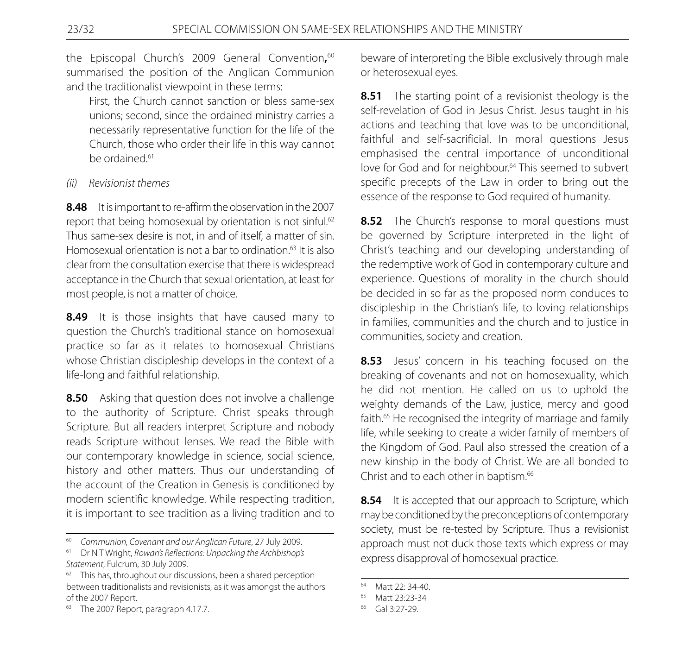the Episcopal Church's 2009 General Convention**,** 60 summarised the position of the Anglican Communion and the traditionalist viewpoint in these terms:

 First, the Church cannot sanction or bless same-sex unions; second, since the ordained ministry carries a necessarily representative function for the life of the Church, those who order their life in this way cannot be ordained.<sup>61</sup>

*(ii) Revisionist themes*

**8.48** It is important to re-affirm the observation in the 2007 report that being homosexual by orientation is not sinful.<sup>62</sup> Thus same-sex desire is not, in and of itself, a matter of sin. Homosexual orientation is not a bar to ordination<sup>63</sup> It is also clear from the consultation exercise that there is widespread acceptance in the Church that sexual orientation, at least for most people, is not a matter of choice.

**8.49** It is those insights that have caused many to question the Church's traditional stance on homosexual practice so far as it relates to homosexual Christians whose Christian discipleship develops in the context of a life-long and faithful relationship.

**8.50** Asking that question does not involve a challenge to the authority of Scripture. Christ speaks through Scripture. But all readers interpret Scripture and nobody reads Scripture without lenses. We read the Bible with our contemporary knowledge in science, social science, history and other matters. Thus our understanding of the account of the Creation in Genesis is conditioned by modern scientific knowledge. While respecting tradition, it is important to see tradition as a living tradition and to

beware of interpreting the Bible exclusively through male or heterosexual eyes.

**8.51** The starting point of a revisionist theology is the self-revelation of God in Jesus Christ. Jesus taught in his actions and teaching that love was to be unconditional, faithful and self-sacrificial. In moral questions Jesus emphasised the central importance of unconditional love for God and for neighbour.<sup>64</sup> This seemed to subvert specific precepts of the Law in order to bring out the essence of the response to God required of humanity.

**8.52** The Church's response to moral questions must be governed by Scripture interpreted in the light of Christ's teaching and our developing understanding of the redemptive work of God in contemporary culture and experience. Questions of morality in the church should be decided in so far as the proposed norm conduces to discipleship in the Christian's life, to loving relationships in families, communities and the church and to justice in communities, society and creation.

**8.53** Jesus' concern in his teaching focused on the breaking of covenants and not on homosexuality, which he did not mention. He called on us to uphold the weighty demands of the Law, justice, mercy and good faith.<sup>65</sup> He recognised the integrity of marriage and family life, while seeking to create a wider family of members of the Kingdom of God. Paul also stressed the creation of a new kinship in the body of Christ. We are all bonded to Christ and to each other in baptism.<sup>66</sup>

**8.54** It is accepted that our approach to Scripture, which may be conditioned by the preconceptions of contemporary society, must be re-tested by Scripture. Thus a revisionist approach must not duck those texts which express or may express disapproval of homosexual practice.

<sup>60</sup> *Communion, Covenant and our Anglican Future*, 27 July 2009.

<sup>61</sup> Dr N T Wright, *Rowan's Reflections: Unpacking the Archbishop's Statement*, Fulcrum, 30 July 2009.

<sup>&</sup>lt;sup>62</sup> This has, throughout our discussions, been a shared perception between traditionalists and revisionists, as it was amongst the authors of the 2007 Report.

<sup>&</sup>lt;sup>63</sup> The 2007 Report, paragraph 4.17.7.

<sup>64</sup> Matt 22: 34-40.

<sup>65</sup> Matt 23:23-34

<sup>66</sup> Gal 3:27-29.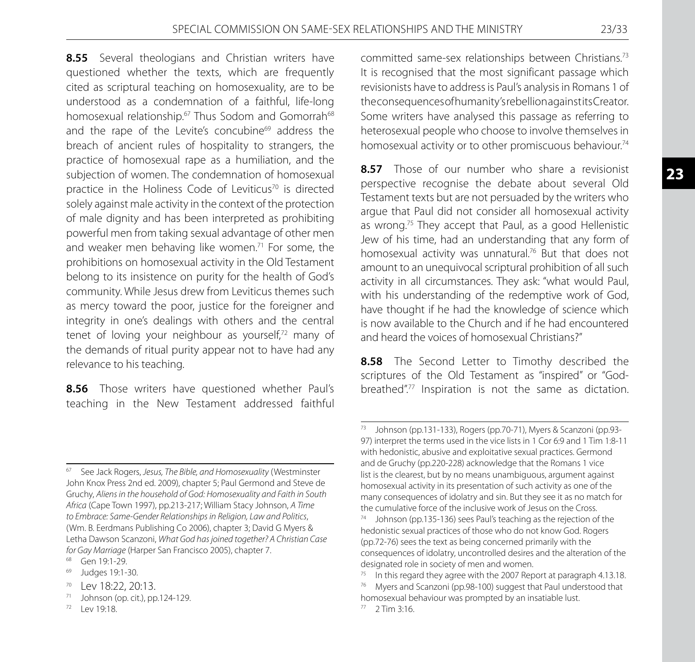**8.55** Several theologians and Christian writers have questioned whether the texts, which are frequently cited as scriptural teaching on homosexuality, are to be understood as a condemnation of a faithful, life-long homosexual relationship.<sup>67</sup> Thus Sodom and Gomorrah<sup>68</sup> and the rape of the Levite's concubine<sup>69</sup> address the breach of ancient rules of hospitality to strangers, the practice of homosexual rape as a humiliation, and the subjection of women. The condemnation of homosexual practice in the Holiness Code of Leviticus<sup>70</sup> is directed solely against male activity in the context of the protection of male dignity and has been interpreted as prohibiting powerful men from taking sexual advantage of other men and weaker men behaving like women.<sup>71</sup> For some, the prohibitions on homosexual activity in the Old Testament belong to its insistence on purity for the health of God's community. While Jesus drew from Leviticus themes such as mercy toward the poor, justice for the foreigner and integrity in one's dealings with others and the central tenet of loving your neighbour as yourself,<sup>72</sup> many of the demands of ritual purity appear not to have had any relevance to his teaching.

**8.56** Those writers have questioned whether Paul's teaching in the New Testament addressed faithful

<sup>67</sup> See Jack Rogers, *Jesus, The Bible, and Homosexuality* (Westminster John Knox Press 2nd ed. 2009), chapter 5; Paul Germond and Steve de Gruchy, *Aliens in the household of God: Homosexuality and Faith in South Africa* (Cape Town 1997), pp.213-217; William Stacy Johnson, *A Time to Embrace: Same-Gender Relationships in Religion, Law and Politics*, (Wm. B. Eerdmans Publishing Co 2006), chapter 3; David G Myers & Letha Dawson Scanzoni, *What God has joined together? A Christian Case for Gay Marriage* (Harper San Francisco 2005), chapter 7.<br><sup>68</sup> Gen 19:1-29.<br><sup>69</sup> Judges 19:1-30.

- 
- <sup>70</sup> Lev 18:22, 20:13.
- $71$  Johnson (op. cit.), pp. 124-129.
- $72$  Lev 19:18.

committed same-sex relationships between Christians.73 It is recognised that the most significant passage which revisionists have to address is Paul's analysis in Romans 1 of the consequences of humanity's rebellion against its Creator. Some writers have analysed this passage as referring to heterosexual people who choose to involve themselves in homosexual activity or to other promiscuous behaviour.<sup>74</sup>

**8.57** Those of our number who share a revisionist perspective recognise the debate about several Old Testament texts but are not persuaded by the writers who argue that Paul did not consider all homosexual activity as wrong.75 They accept that Paul, as a good Hellenistic Jew of his time, had an understanding that any form of homosexual activity was unnatural.76 But that does not amount to an unequivocal scriptural prohibition of all such activity in all circumstances. They ask: "what would Paul, with his understanding of the redemptive work of God, have thought if he had the knowledge of science which is now available to the Church and if he had encountered and heard the voices of homosexual Christians?"

**8.58** The Second Letter to Timothy described the scriptures of the Old Testament as "inspired" or "Godbreathed".77 Inspiration is not the same as dictation.

<sup>73</sup> Johnson (pp.131-133), Rogers (pp.70-71), Myers & Scanzoni (pp.93- 97) interpret the terms used in the vice lists in 1 Cor 6:9 and 1 Tim 1:8-11 with hedonistic, abusive and exploitative sexual practices. Germond and de Gruchy (pp.220-228) acknowledge that the Romans 1 vice list is the clearest, but by no means unambiguous, argument against homosexual activity in its presentation of such activity as one of the many consequences of idolatry and sin. But they see it as no match for the cumulative force of the inclusive work of Jesus on the Cross.

Johnson (pp.135-136) sees Paul's teaching as the rejection of the hedonistic sexual practices of those who do not know God. Rogers (pp.72-76) sees the text as being concerned primarily with the consequences of idolatry, uncontrolled desires and the alteration of the designated role in society of men and women.

 $75$  In this regard they agree with the 2007 Report at paragraph 4.13.18.

Myers and Scanzoni (pp.98-100) suggest that Paul understood that homosexual behaviour was prompted by an insatiable lust.

 $77 - 2$  Tim 3:16.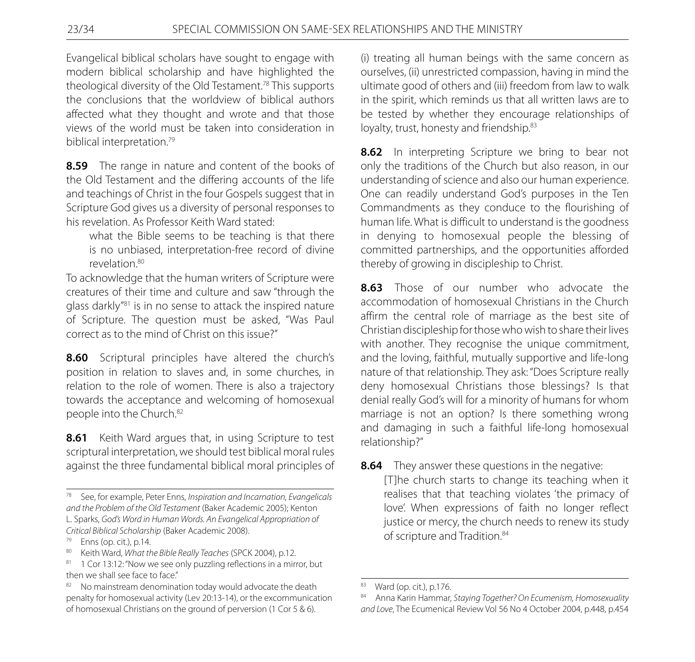Evangelical biblical scholars have sought to engage with modern biblical scholarship and have highlighted the theological diversity of the Old Testament.78 This supports the conclusions that the worldview of biblical authors affected what they thought and wrote and that those views of the world must be taken into consideration in biblical interpretation.<sup>79</sup>

**8.59** The range in nature and content of the books of the Old Testament and the differing accounts of the life and teachings of Christ in the four Gospels suggest that in Scripture God gives us a diversity of personal responses to his revelation. As Professor Keith Ward stated:

 what the Bible seems to be teaching is that there is no unbiased, interpretation-free record of divine revelation.<sup>80</sup>

To acknowledge that the human writers of Scripture were creatures of their time and culture and saw "through the glass darkly"81 is in no sense to attack the inspired nature of Scripture. The question must be asked, "Was Paul correct as to the mind of Christ on this issue?"

**8.60** Scriptural principles have altered the church's position in relation to slaves and, in some churches, in relation to the role of women. There is also a trajectory towards the acceptance and welcoming of homosexual people into the Church.82

**8.61** Keith Ward argues that, in using Scripture to test scriptural interpretation, we should test biblical moral rules against the three fundamental biblical moral principles of (i) treating all human beings with the same concern as ourselves, (ii) unrestricted compassion, having in mind the ultimate good of others and (iii) freedom from law to walk in the spirit, which reminds us that all written laws are to be tested by whether they encourage relationships of loyalty, trust, honesty and friendship.<sup>83</sup>

**8.62** In interpreting Scripture we bring to bear not only the traditions of the Church but also reason, in our understanding of science and also our human experience. One can readily understand God's purposes in the Ten Commandments as they conduce to the flourishing of human life. What is difficult to understand is the goodness in denying to homosexual people the blessing of committed partnerships, and the opportunities afforded thereby of growing in discipleship to Christ.

**8.63** Those of our number who advocate the accommodation of homosexual Christians in the Church affirm the central role of marriage as the best site of Christian discipleship for those who wish to share their lives with another. They recognise the unique commitment, and the loving, faithful, mutually supportive and life-long nature of that relationship. They ask: "Does Scripture really deny homosexual Christians those blessings? Is that denial really God's will for a minority of humans for whom marriage is not an option? Is there something wrong and damaging in such a faithful life-long homosexual relationship?"

**8.64** They answer these questions in the negative:

 [T]he church starts to change its teaching when it realises that that teaching violates 'the primacy of love'. When expressions of faith no longer reflect justice or mercy, the church needs to renew its study of scripture and Tradition.<sup>84</sup>

<sup>78</sup> See, for example, Peter Enns, *Inspiration and Incarnation, Evangelicals and the Problem of the Old Testament* (Baker Academic 2005); Kenton L. Sparks, *God's Word in Human Words. An Evangelical Appropriation of Critical Biblical Scholarship* (Baker Academic 2008).

<sup>79</sup> Enns (op. cit.), p.14.

<sup>80</sup> Keith Ward, *What the Bible Really Teaches* (SPCK 2004), p.12.

<sup>81 1</sup> Cor 13:12: "Now we see only puzzling reflections in a mirror, but then we shall see face to face."

No mainstream denomination today would advocate the death penalty for homosexual activity (Lev 20:13-14), or the excommunication of homosexual Christians on the ground of perversion (1 Cor 5 & 6).

<sup>83</sup> Ward (op. cit.), p.176.

<sup>84</sup> Anna Karin Hammar, *Staying Together? On Ecumenism, Homosexuality and Love*, The Ecumenical Review Vol 56 No 4 October 2004, p.448, p.454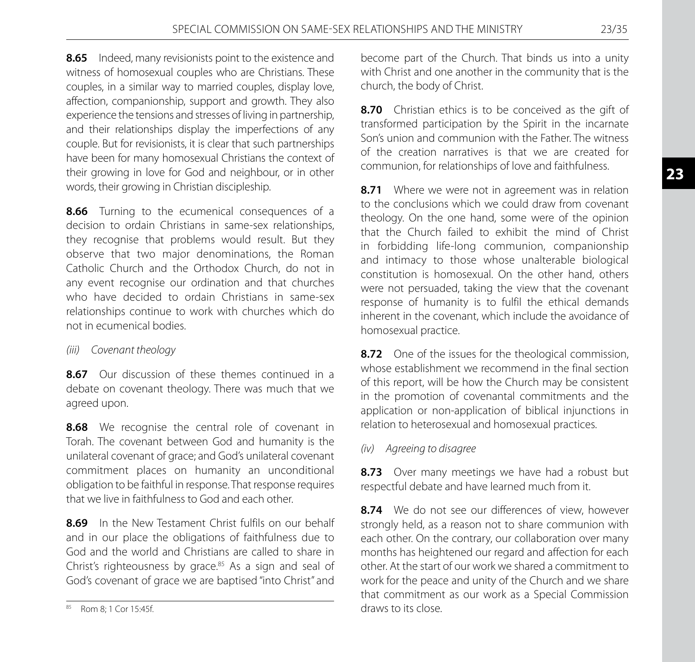**8.65** Indeed, many revisionists point to the existence and witness of homosexual couples who are Christians. These couples, in a similar way to married couples, display love, affection, companionship, support and growth. They also experience the tensions and stresses of living in partnership, and their relationships display the imperfections of any couple. But for revisionists, it is clear that such partnerships have been for many homosexual Christians the context of their growing in love for God and neighbour, or in other words, their growing in Christian discipleship.

**8.66** Turning to the ecumenical consequences of a decision to ordain Christians in same-sex relationships, they recognise that problems would result. But they observe that two major denominations, the Roman Catholic Church and the Orthodox Church, do not in any event recognise our ordination and that churches who have decided to ordain Christians in same-sex relationships continue to work with churches which do not in ecumenical bodies.

# *(iii) Covenant theology*

**8.67** Our discussion of these themes continued in a debate on covenant theology. There was much that we agreed upon.

**8.68** We recognise the central role of covenant in Torah. The covenant between God and humanity is the unilateral covenant of grace; and God's unilateral covenant commitment places on humanity an unconditional obligation to be faithful in response. That response requires that we live in faithfulness to God and each other.

**8.69** In the New Testament Christ fulfils on our behalf and in our place the obligations of faithfulness due to God and the world and Christians are called to share in Christ's righteousness by grace.85 As a sign and seal of God's covenant of grace we are baptised "into Christ" and

become part of the Church. That binds us into a unity with Christ and one another in the community that is the church, the body of Christ.

**8.70** Christian ethics is to be conceived as the gift of transformed participation by the Spirit in the incarnate Son's union and communion with the Father. The witness of the creation narratives is that we are created for communion, for relationships of love and faithfulness.

**8.71** Where we were not in agreement was in relation to the conclusions which we could draw from covenant theology. On the one hand, some were of the opinion that the Church failed to exhibit the mind of Christ in forbidding life-long communion, companionship and intimacy to those whose unalterable biological constitution is homosexual. On the other hand, others were not persuaded, taking the view that the covenant response of humanity is to fulfil the ethical demands inherent in the covenant, which include the avoidance of homosexual practice.

**8.72** One of the issues for the theological commission, whose establishment we recommend in the final section of this report, will be how the Church may be consistent in the promotion of covenantal commitments and the application or non-application of biblical injunctions in relation to heterosexual and homosexual practices.

# *(iv) Agreeing to disagree*

8.73 Over many meetings we have had a robust but respectful debate and have learned much from it.

**8.74** We do not see our differences of view, however strongly held, as a reason not to share communion with each other. On the contrary, our collaboration over many months has heightened our regard and affection for each other. At the start of our work we shared a commitment to work for the peace and unity of the Church and we share that commitment as our work as a Special Commission draws to its close.

<sup>85</sup> Rom 8; 1 Cor 15:45f.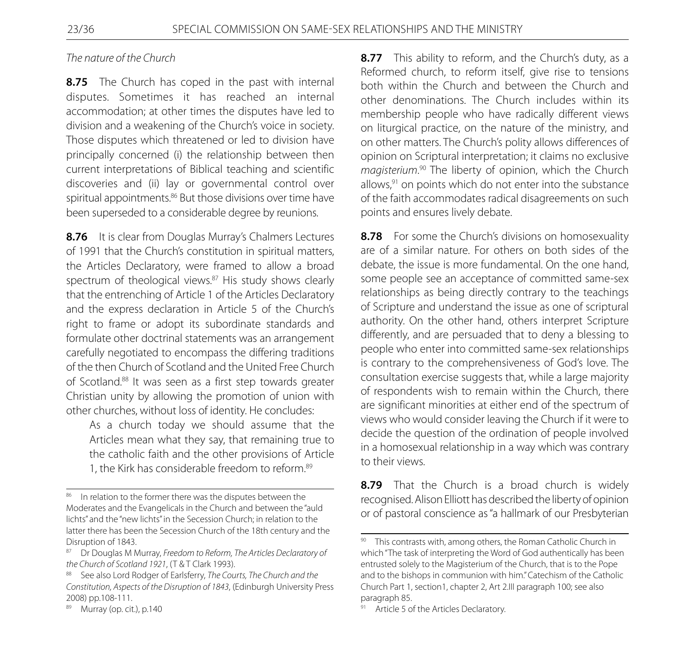#### *The nature of the Church*

8.75 The Church has coped in the past with internal disputes. Sometimes it has reached an internal accommodation; at other times the disputes have led to division and a weakening of the Church's voice in society. Those disputes which threatened or led to division have principally concerned (i) the relationship between then current interpretations of Biblical teaching and scientific discoveries and (ii) lay or governmental control over spiritual appointments.<sup>86</sup> But those divisions over time have been superseded to a considerable degree by reunions.

**8.76** It is clear from Douglas Murray's Chalmers Lectures of 1991 that the Church's constitution in spiritual matters, the Articles Declaratory, were framed to allow a broad spectrum of theological views.<sup>87</sup> His study shows clearly that the entrenching of Article 1 of the Articles Declaratory and the express declaration in Article 5 of the Church's right to frame or adopt its subordinate standards and formulate other doctrinal statements was an arrangement carefully negotiated to encompass the differing traditions of the then Church of Scotland and the United Free Church of Scotland.88 It was seen as a first step towards greater Christian unity by allowing the promotion of union with other churches, without loss of identity. He concludes:

 As a church today we should assume that the Articles mean what they say, that remaining true to the catholic faith and the other provisions of Article 1, the Kirk has considerable freedom to reform.<sup>89</sup>

89 Murray (op. cit.), p.140

**8.77** This ability to reform, and the Church's duty, as a Reformed church, to reform itself, give rise to tensions both within the Church and between the Church and other denominations. The Church includes within its membership people who have radically different views on liturgical practice, on the nature of the ministry, and on other matters. The Church's polity allows differences of opinion on Scriptural interpretation; it claims no exclusive *magisterium*. 90 The liberty of opinion, which the Church allows, $91$  on points which do not enter into the substance of the faith accommodates radical disagreements on such points and ensures lively debate.

**8.78** For some the Church's divisions on homosexuality are of a similar nature. For others on both sides of the debate, the issue is more fundamental. On the one hand, some people see an acceptance of committed same-sex relationships as being directly contrary to the teachings of Scripture and understand the issue as one of scriptural authority. On the other hand, others interpret Scripture differently, and are persuaded that to deny a blessing to people who enter into committed same-sex relationships is contrary to the comprehensiveness of God's love. The consultation exercise suggests that, while a large majority of respondents wish to remain within the Church, there are significant minorities at either end of the spectrum of views who would consider leaving the Church if it were to decide the question of the ordination of people involved in a homosexual relationship in a way which was contrary to their views.

**8.79** That the Church is a broad church is widely recognised. Alison Elliott has described the liberty of opinion or of pastoral conscience as "a hallmark of our Presbyterian

<sup>86</sup> In relation to the former there was the disputes between the Moderates and the Evangelicals in the Church and between the "auld lichts" and the "new lichts" in the Secession Church; in relation to the latter there has been the Secession Church of the 18th century and the Disruption of 1843.

<sup>87</sup> Dr Douglas M Murray, *Freedom to Reform, The Articles Declaratory of the Church of Scotland 1921*, (T & T Clark 1993).

<sup>88</sup> See also Lord Rodger of Earlsferry, *The Courts, The Church and the Constitution, Aspects of the Disruption of 1843*, (Edinburgh University Press 2008) pp.108-111.

<sup>90</sup> This contrasts with, among others, the Roman Catholic Church in which "The task of interpreting the Word of God authentically has been entrusted solely to the Magisterium of the Church, that is to the Pope and to the bishops in communion with him." Catechism of the Catholic Church Part 1, section1, chapter 2, Art 2.III paragraph 100; see also paragraph 85.

<sup>91</sup> Article 5 of the Articles Declaratory.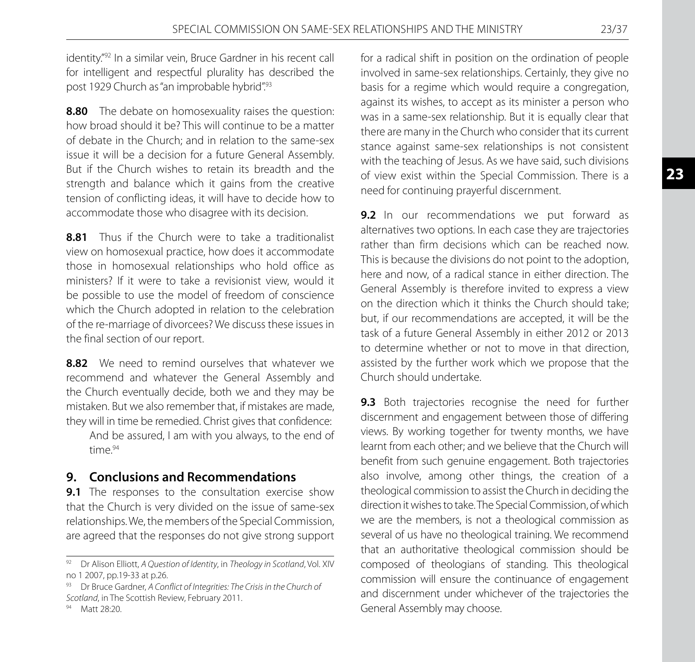identity."<sup>92</sup> In a similar vein, Bruce Gardner in his recent call for intelligent and respectful plurality has described the post 1929 Church as "an improbable hybrid".93

**8.80** The debate on homosexuality raises the question: how broad should it be? This will continue to be a matter of debate in the Church; and in relation to the same-sex issue it will be a decision for a future General Assembly. But if the Church wishes to retain its breadth and the strength and balance which it gains from the creative tension of conflicting ideas, it will have to decide how to accommodate those who disagree with its decision.

**8.81** Thus if the Church were to take a traditionalist view on homosexual practice, how does it accommodate those in homosexual relationships who hold office as ministers? If it were to take a revisionist view, would it be possible to use the model of freedom of conscience which the Church adopted in relation to the celebration of the re-marriage of divorcees? We discuss these issues in the final section of our report.

**8.82** We need to remind ourselves that whatever we recommend and whatever the General Assembly and the Church eventually decide, both we and they may be mistaken. But we also remember that, if mistakes are made, they will in time be remedied. Christ gives that confidence:

 And be assured, I am with you always, to the end of  $time^{94}$ 

# **9. Conclusions and Recommendations**

**9.1** The responses to the consultation exercise show that the Church is very divided on the issue of same-sex relationships. We, the members of the Special Commission, are agreed that the responses do not give strong support

for a radical shift in position on the ordination of people involved in same-sex relationships. Certainly, they give no basis for a regime which would require a congregation, against its wishes, to accept as its minister a person who was in a same-sex relationship. But it is equally clear that there are many in the Church who consider that its current stance against same-sex relationships is not consistent with the teaching of Jesus. As we have said, such divisions of view exist within the Special Commission. There is a need for continuing prayerful discernment.

**9.2** In our recommendations we put forward as alternatives two options. In each case they are trajectories rather than firm decisions which can be reached now. This is because the divisions do not point to the adoption, here and now, of a radical stance in either direction. The General Assembly is therefore invited to express a view on the direction which it thinks the Church should take; but, if our recommendations are accepted, it will be the task of a future General Assembly in either 2012 or 2013 to determine whether or not to move in that direction, assisted by the further work which we propose that the Church should undertake.

**9.3** Both trajectories recognise the need for further discernment and engagement between those of differing views. By working together for twenty months, we have learnt from each other; and we believe that the Church will benefit from such genuine engagement. Both trajectories also involve, among other things, the creation of a theological commission to assist the Church in deciding the direction it wishes to take. The Special Commission, of which we are the members, is not a theological commission as several of us have no theological training. We recommend that an authoritative theological commission should be composed of theologians of standing. This theological commission will ensure the continuance of engagement and discernment under whichever of the trajectories the General Assembly may choose.

<sup>92</sup> Dr Alison Elliott, *A Question of Identity*, in *Theology in Scotland*, Vol. XIV no 1 2007, pp.19-33 at p.26.

<sup>93</sup> Dr Bruce Gardner, *A Conflict of Integrities: The Crisis in the Church of Scotland*, in The Scottish Review, February 2011.

<sup>94</sup> Matt 28:20.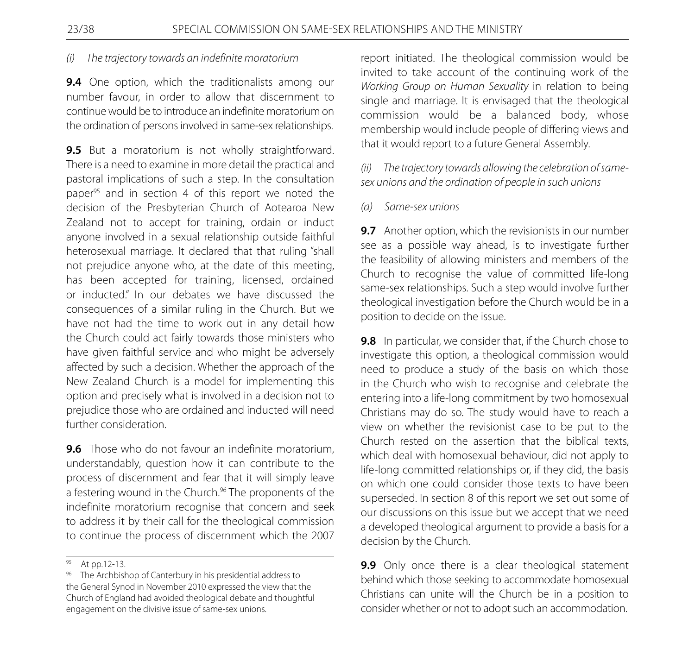#### *(i) The trajectory towards an indefinite moratorium*

**9.4** One option, which the traditionalists among our number favour, in order to allow that discernment to continue would be to introduce an indefinite moratorium on the ordination of persons involved in same-sex relationships.

**9.5** But a moratorium is not wholly straightforward. There is a need to examine in more detail the practical and pastoral implications of such a step. In the consultation paper<sup>95</sup> and in section 4 of this report we noted the decision of the Presbyterian Church of Aotearoa New Zealand not to accept for training, ordain or induct anyone involved in a sexual relationship outside faithful heterosexual marriage. It declared that that ruling "shall not prejudice anyone who, at the date of this meeting, has been accepted for training, licensed, ordained or inducted." In our debates we have discussed the consequences of a similar ruling in the Church. But we have not had the time to work out in any detail how the Church could act fairly towards those ministers who have given faithful service and who might be adversely affected by such a decision. Whether the approach of the New Zealand Church is a model for implementing this option and precisely what is involved in a decision not to prejudice those who are ordained and inducted will need further consideration.

**9.6** Those who do not favour an indefinite moratorium, understandably, question how it can contribute to the process of discernment and fear that it will simply leave a festering wound in the Church.<sup>96</sup> The proponents of the indefinite moratorium recognise that concern and seek to address it by their call for the theological commission to continue the process of discernment which the 2007

report initiated. The theological commission would be invited to take account of the continuing work of the *Working Group on Human Sexuality* in relation to being single and marriage. It is envisaged that the theological commission would be a balanced body, whose membership would include people of differing views and that it would report to a future General Assembly.

*(ii) The trajectory towards allowing the celebration of samesex unions and the ordination of people in such unions*

#### *(a) Same-sex unions*

**9.7** Another option, which the revisionists in our number see as a possible way ahead, is to investigate further the feasibility of allowing ministers and members of the Church to recognise the value of committed life-long same-sex relationships. Such a step would involve further theological investigation before the Church would be in a position to decide on the issue.

**9.8** In particular, we consider that, if the Church chose to investigate this option, a theological commission would need to produce a study of the basis on which those in the Church who wish to recognise and celebrate the entering into a life-long commitment by two homosexual Christians may do so. The study would have to reach a view on whether the revisionist case to be put to the Church rested on the assertion that the biblical texts, which deal with homosexual behaviour, did not apply to life-long committed relationships or, if they did, the basis on which one could consider those texts to have been superseded. In section 8 of this report we set out some of our discussions on this issue but we accept that we need a developed theological argument to provide a basis for a decision by the Church.

**9.9** Only once there is a clear theological statement behind which those seeking to accommodate homosexual Christians can unite will the Church be in a position to consider whether or not to adopt such an accommodation.

At pp.12-13.

<sup>96</sup> The Archbishop of Canterbury in his presidential address to the General Synod in November 2010 expressed the view that the Church of England had avoided theological debate and thoughtful engagement on the divisive issue of same-sex unions.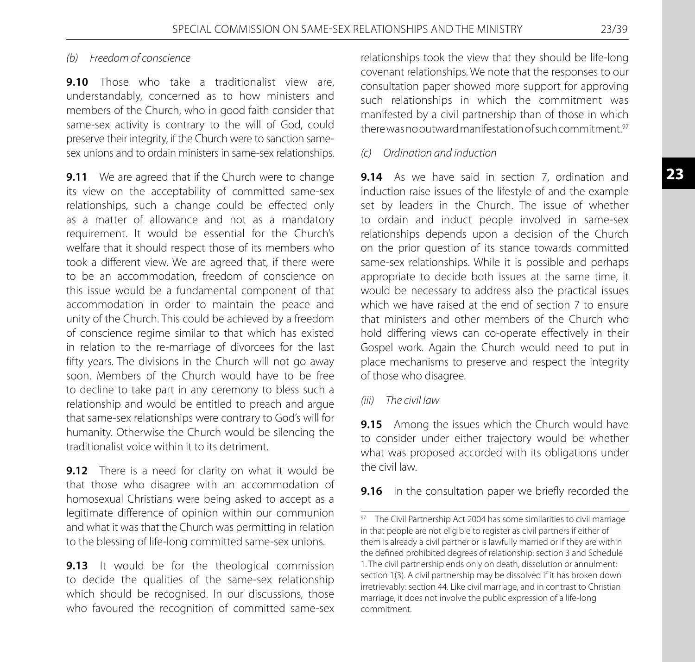# *(b) Freedom of conscience*

**9.10** Those who take a traditionalist view are, understandably, concerned as to how ministers and members of the Church, who in good faith consider that same-sex activity is contrary to the will of God, could preserve their integrity, if the Church were to sanction samesex unions and to ordain ministers in same-sex relationships.

**9.11** We are agreed that if the Church were to change its view on the acceptability of committed same-sex relationships, such a change could be effected only as a matter of allowance and not as a mandatory requirement. It would be essential for the Church's welfare that it should respect those of its members who took a different view. We are agreed that, if there were to be an accommodation, freedom of conscience on this issue would be a fundamental component of that accommodation in order to maintain the peace and unity of the Church. This could be achieved by a freedom of conscience regime similar to that which has existed in relation to the re-marriage of divorcees for the last fifty years. The divisions in the Church will not go away soon. Members of the Church would have to be free to decline to take part in any ceremony to bless such a relationship and would be entitled to preach and argue that same-sex relationships were contrary to God's will for humanity. Otherwise the Church would be silencing the traditionalist voice within it to its detriment.

**9.12** There is a need for clarity on what it would be that those who disagree with an accommodation of homosexual Christians were being asked to accept as a legitimate difference of opinion within our communion and what it was that the Church was permitting in relation to the blessing of life-long committed same-sex unions.

**9.13** It would be for the theological commission to decide the qualities of the same-sex relationship which should be recognised. In our discussions, those who favoured the recognition of committed same-sex relationships took the view that they should be life-long covenant relationships. We note that the responses to our consultation paper showed more support for approving such relationships in which the commitment was manifested by a civil partnership than of those in which there was no outward manifestation of such commitment.<sup>97</sup>

# *(c) Ordination and induction*

**9.14** As we have said in section 7, ordination and induction raise issues of the lifestyle of and the example set by leaders in the Church. The issue of whether to ordain and induct people involved in same-sex relationships depends upon a decision of the Church on the prior question of its stance towards committed same-sex relationships. While it is possible and perhaps appropriate to decide both issues at the same time, it would be necessary to address also the practical issues which we have raised at the end of section 7 to ensure that ministers and other members of the Church who hold differing views can co-operate effectively in their Gospel work. Again the Church would need to put in place mechanisms to preserve and respect the integrity of those who disagree.

# *(iii) The civil law*

**9.15** Among the issues which the Church would have to consider under either trajectory would be whether what was proposed accorded with its obligations under the civil law.

**9.16** In the consultation paper we briefly recorded the

<sup>97</sup> The Civil Partnership Act 2004 has some similarities to civil marriage in that people are not eligible to register as civil partners if either of them is already a civil partner or is lawfully married or if they are within the defined prohibited degrees of relationship: section 3 and Schedule 1. The civil partnership ends only on death, dissolution or annulment: section 1(3). A civil partnership may be dissolved if it has broken down irretrievably: section 44. Like civil marriage, and in contrast to Christian marriage, it does not involve the public expression of a life-long commitment.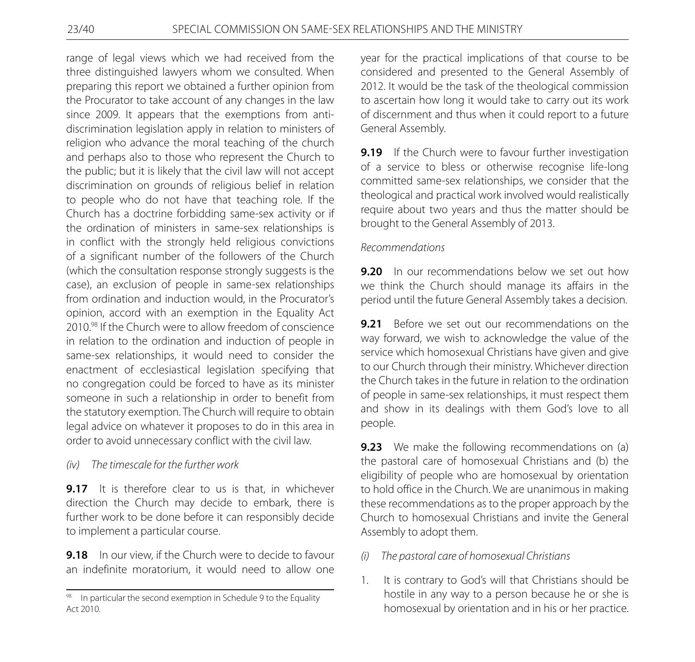range of legal views which we had received from the three distinguished lawyers whom we consulted. When preparing this report we obtained a further opinion from the Procurator to take account of any changes in the law since 2009. It appears that the exemptions from antidiscrimination legislation apply in relation to ministers of religion who advance the moral teaching of the church and perhaps also to those who represent the Church to the public; but it is likely that the civil law will not accept discrimination on grounds of religious belief in relation to people who do not have that teaching role. If the Church has a doctrine forbidding same-sex activity or if the ordination of ministers in same-sex relationships is in conflict with the strongly held religious convictions of a significant number of the followers of the Church (which the consultation response strongly suggests is the case), an exclusion of people in same-sex relationships from ordination and induction would, in the Procurator's opinion, accord with an exemption in the Equality Act 2010.98 If the Church were to allow freedom of conscience in relation to the ordination and induction of people in same-sex relationships, it would need to consider the enactment of ecclesiastical legislation specifying that no congregation could be forced to have as its minister someone in such a relationship in order to benefit from the statutory exemption. The Church will require to obtain legal advice on whatever it proposes to do in this area in order to avoid unnecessary conflict with the civil law.

# *(iv) The timescale for the further work*

**9.17** It is therefore clear to us is that, in whichever direction the Church may decide to embark, there is further work to be done before it can responsibly decide to implement a particular course.

**9.18** In our view, if the Church were to decide to favour an indefinite moratorium, it would need to allow one year for the practical implications of that course to be considered and presented to the General Assembly of 2012. It would be the task of the theological commission to ascertain how long it would take to carry out its work of discernment and thus when it could report to a future General Assembly.

**9.19** If the Church were to favour further investigation of a service to bless or otherwise recognise life-long committed same-sex relationships, we consider that the theological and practical work involved would realistically require about two years and thus the matter should be brought to the General Assembly of 2013.

#### *Recommendations*

**9.20** In our recommendations below we set out how we think the Church should manage its affairs in the period until the future General Assembly takes a decision.

**9.21** Before we set out our recommendations on the way forward, we wish to acknowledge the value of the service which homosexual Christians have given and give to our Church through their ministry. Whichever direction the Church takes in the future in relation to the ordination of people in same-sex relationships, it must respect them and show in its dealings with them God's love to all people.

**9.23** We make the following recommendations on (a) the pastoral care of homosexual Christians and (b) the eligibility of people who are homosexual by orientation to hold office in the Church. We are unanimous in making these recommendations as to the proper approach by the Church to homosexual Christians and invite the General Assembly to adopt them.

- *(i) The pastoral care of homosexual Christians*
- 1. It is contrary to God's will that Christians should be hostile in any way to a person because he or she is homosexual by orientation and in his or her practice.

 $98$  In particular the second exemption in Schedule 9 to the Equality Act 2010.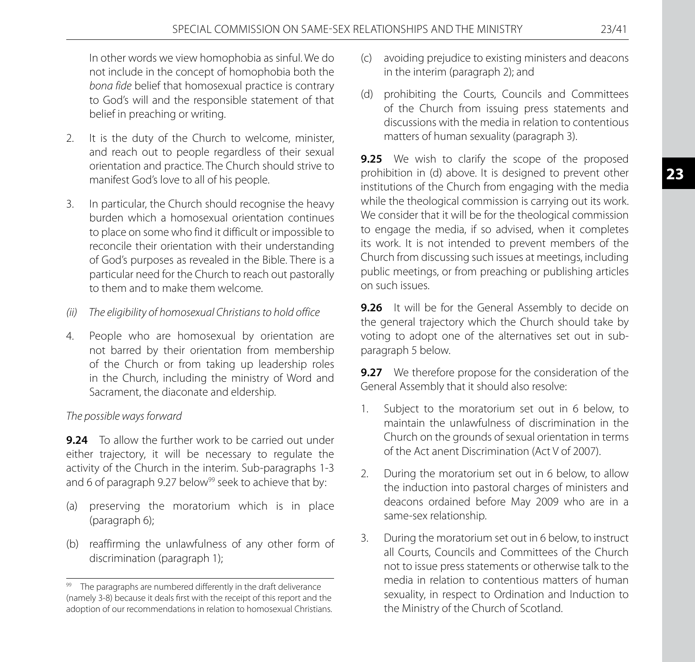In other words we view homophobia as sinful. We do not include in the concept of homophobia both the *bona fide* belief that homosexual practice is contrary to God's will and the responsible statement of that belief in preaching or writing.

- 2. It is the duty of the Church to welcome, minister, and reach out to people regardless of their sexual orientation and practice. The Church should strive to manifest God's love to all of his people.
- 3. In particular, the Church should recognise the heavy burden which a homosexual orientation continues to place on some who find it difficult or impossible to reconcile their orientation with their understanding of God's purposes as revealed in the Bible. There is a particular need for the Church to reach out pastorally to them and to make them welcome.
- *(ii) The eligibility of homosexual Christians to hold office*
- 4. People who are homosexual by orientation are not barred by their orientation from membership of the Church or from taking up leadership roles in the Church, including the ministry of Word and Sacrament, the diaconate and eldership.

# *The possible ways forward*

**9.24** To allow the further work to be carried out under either trajectory, it will be necessary to regulate the activity of the Church in the interim. Sub-paragraphs 1-3 and 6 of paragraph 9.27 below<sup>99</sup> seek to achieve that by:

- (a) preserving the moratorium which is in place (paragraph 6);
- (b) reaffirming the unlawfulness of any other form of discrimination (paragraph 1);
- (c) avoiding prejudice to existing ministers and deacons in the interim (paragraph 2); and
- (d) prohibiting the Courts, Councils and Committees of the Church from issuing press statements and discussions with the media in relation to contentious matters of human sexuality (paragraph 3).

**9.25** We wish to clarify the scope of the proposed prohibition in (d) above. It is designed to prevent other institutions of the Church from engaging with the media while the theological commission is carrying out its work. We consider that it will be for the theological commission to engage the media, if so advised, when it completes its work. It is not intended to prevent members of the Church from discussing such issues at meetings, including public meetings, or from preaching or publishing articles on such issues.

**9.26** It will be for the General Assembly to decide on the general trajectory which the Church should take by voting to adopt one of the alternatives set out in subparagraph 5 below.

**9.27** We therefore propose for the consideration of the General Assembly that it should also resolve:

- 1. Subject to the moratorium set out in 6 below, to maintain the unlawfulness of discrimination in the Church on the grounds of sexual orientation in terms of the Act anent Discrimination (Act V of 2007).
- 2. During the moratorium set out in 6 below, to allow the induction into pastoral charges of ministers and deacons ordained before May 2009 who are in a same-sex relationship.
- 3. During the moratorium set out in 6 below, to instruct all Courts, Councils and Committees of the Church not to issue press statements or otherwise talk to the media in relation to contentious matters of human sexuality, in respect to Ordination and Induction to the Ministry of the Church of Scotland.

<sup>99</sup> The paragraphs are numbered differently in the draft deliverance (namely 3-8) because it deals first with the receipt of this report and the adoption of our recommendations in relation to homosexual Christians.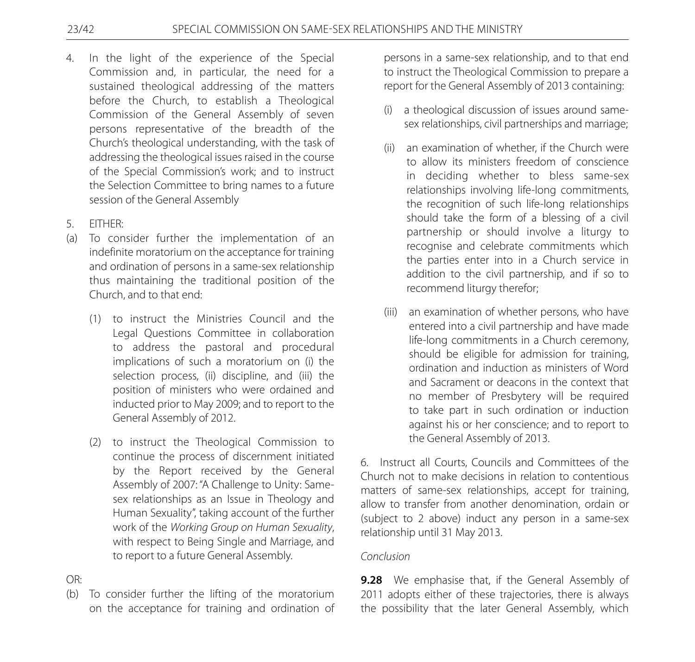- 4. In the light of the experience of the Special Commission and, in particular, the need for a sustained theological addressing of the matters before the Church, to establish a Theological Commission of the General Assembly of seven persons representative of the breadth of the Church's theological understanding, with the task of addressing the theological issues raised in the course of the Special Commission's work; and to instruct the Selection Committee to bring names to a future session of the General Assembly
- 5. EITHER:
- (a)To consider further the implementation of an indefinite moratorium on the acceptance for training and ordination of persons in a same-sex relationship thus maintaining the traditional position of the Church, and to that end:
	- (1)to instruct the Ministries Council and the Legal Questions Committee in collaboration to address the pastoral and procedural implications of such a moratorium on (i) the selection process, (ii) discipline, and (iii) the position of ministers who were ordained and inducted prior to May 2009; and to report to the General Assembly of 2012.
	- (2)to instruct the Theological Commission to continue the process of discernment initiated by the Report received by the General Assembly of 2007: "A Challenge to Unity: Samesex relationships as an Issue in Theology and Human Sexuality", taking account of the further work of the *Working Group on Human Sexuality*, with respect to Being Single and Marriage, and to report to a future General Assembly.

OR:

(b)To consider further the lifting of the moratorium on the acceptance for training and ordination of

persons in a same-sex relationship, and to that end to instruct the Theological Commission to prepare a report for the General Assembly of 2013 containing:

- a theological discussion of issues around samesex relationships, civil partnerships and marriage;
- (ii)an examination of whether, if the Church were to allow its ministers freedom of conscience in deciding whether to bless same-sex relationships involving life-long commitments, the recognition of such life-long relationships should take the form of a blessing of a civil partnership or should involve a liturgy to recognise and celebrate commitments which the parties enter into in a Church service in addition to the civil partnership, and if so to recommend liturgy therefor;
- (iii)an examination of whether persons, who have entered into a civil partnership and have made life-long commitments in a Church ceremony, should be eligible for admission for training, ordination and induction as ministers of Word and Sacrament or deacons in the context that no member of Presbytery will be required to take part in such ordination or induction against his or her conscience; and to report to the General Assembly of 2013.

6. Instruct all Courts, Councils and Committees of the Church not to make decisions in relation to contentious matters of same-sex relationships, accept for training, allow to transfer from another denomination, ordain or (subject to 2 above) induct any person in a same-sex relationship until 31 May 2013.

# *Conclusion*

**9.28** We emphasise that, if the General Assembly of 2011 adopts either of these trajectories, there is always the possibility that the later General Assembly, which